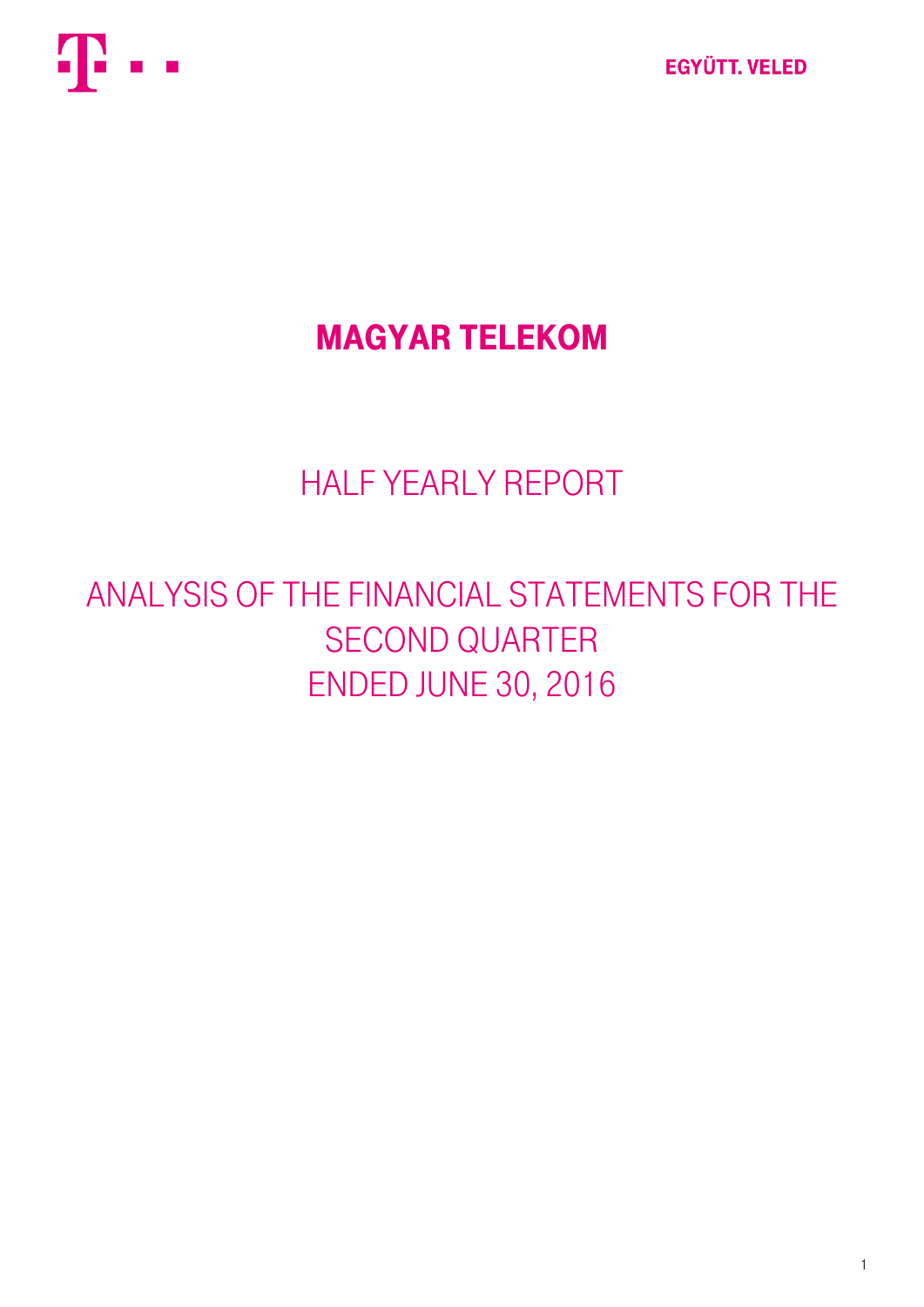

# Magyar Telekom

# HALF YEARLY REPORT

# ANALYSIS OF THE FINANCIAL STATEMENTS FOR THE SECOND QUARTER ENDED JUNE 30, 2016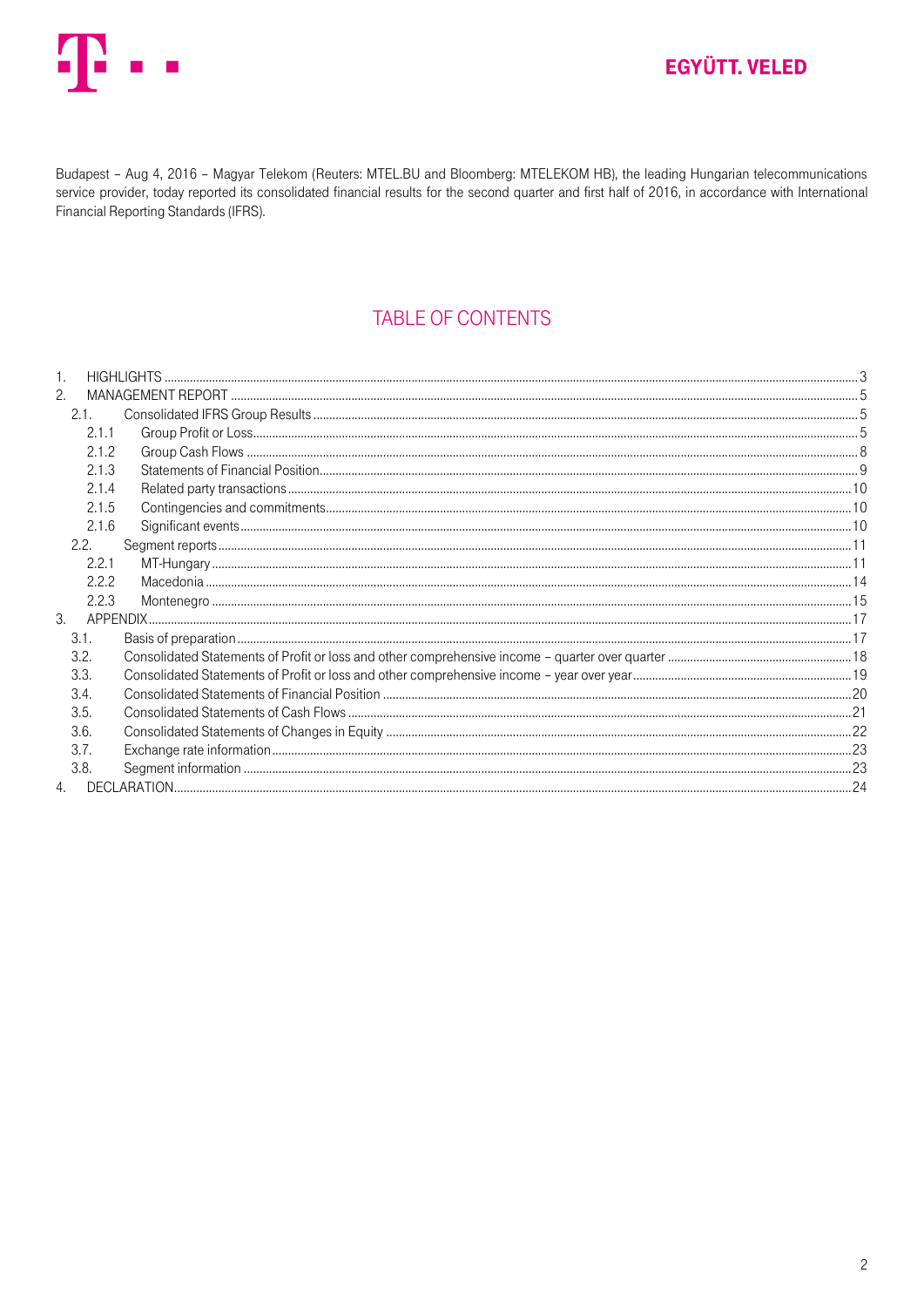

Budapest - Aug 4, 2016 - Magyar Telekom (Reuters: MTEL.BU and Bloomberg: MTELEKOM HB), the leading Hungarian telecommunications service provider, today reported its consolidated financial results for the second quarter and first half of 2016, in accordance with International Financial Reporting Standards (IFRS).

## **TABLE OF CONTENTS**

| 2.   |       |  |
|------|-------|--|
|      | 2.1.  |  |
|      | 2.1.1 |  |
|      | 2.1.2 |  |
|      | 2.1.3 |  |
|      | 2.1.4 |  |
|      | 2.1.5 |  |
|      | 2.1.6 |  |
|      | 2.2.  |  |
|      | 2.2.1 |  |
|      | 2.2.2 |  |
|      | 2.2.3 |  |
| 3.   |       |  |
|      | 3.1.  |  |
| 3.2. |       |  |
| 3.3. |       |  |
| 3.4. |       |  |
| 3.5. |       |  |
| 3.6. |       |  |
|      | 3.7.  |  |
|      | 3.8.  |  |
|      |       |  |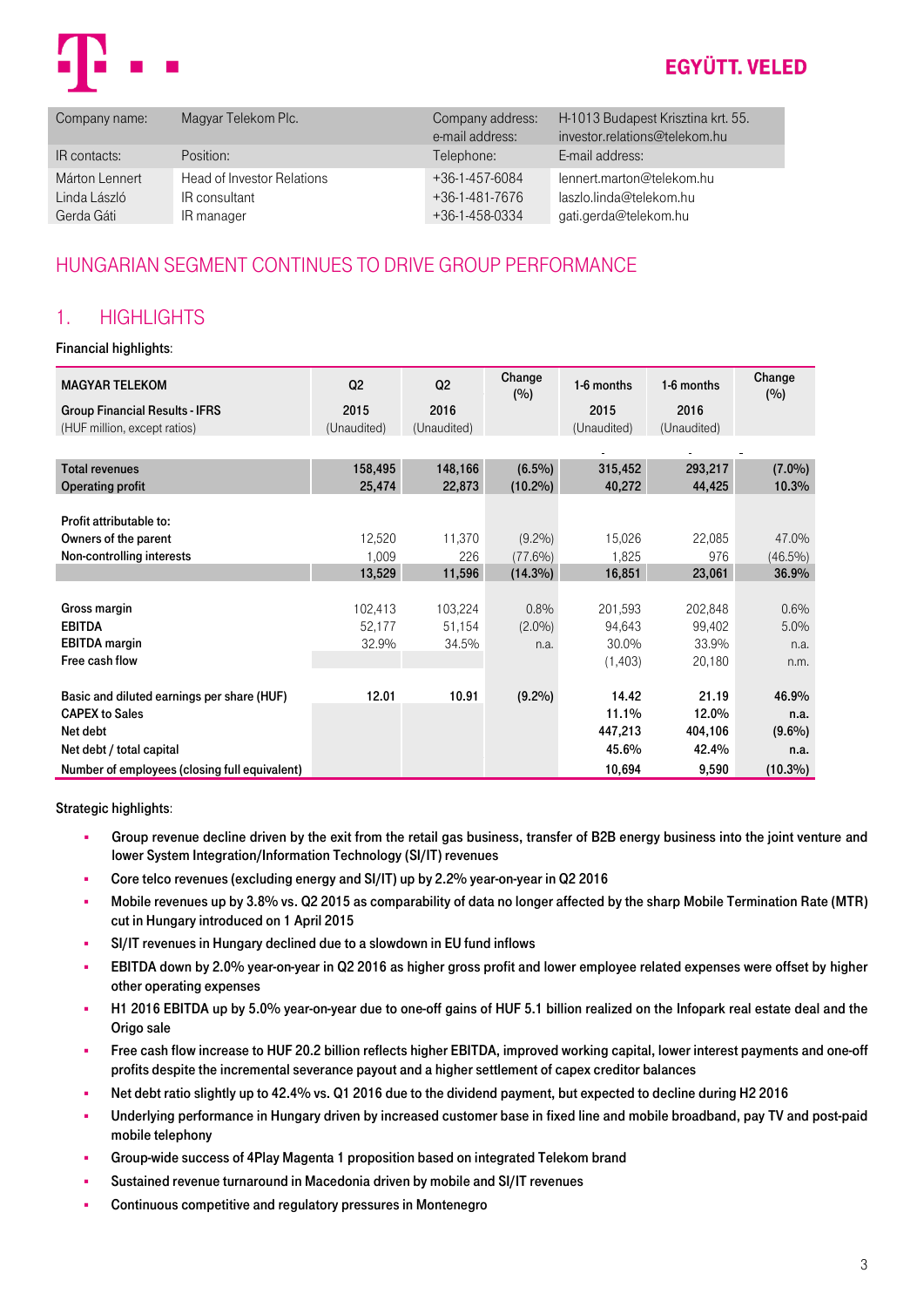

| Company name:  | Magyar Telekom Plc.        | Company address:<br>e-mail address: | H-1013 Budapest Krisztina krt. 55.<br>investor.relations@telekom.hu |
|----------------|----------------------------|-------------------------------------|---------------------------------------------------------------------|
| IR contacts:   | Position:                  | Telephone:                          | E-mail address:                                                     |
| Márton Lennert | Head of Investor Relations | $+36-1-457-6084$                    | lennert.marton@telekom.hu                                           |
| Linda László   | IR consultant              | $+36-1-481-7676$                    | laszlo.linda@telekom.hu                                             |
| Gerda Gáti     | IR manager                 | +36-1-458-0334                      | gati.gerda@telekom.hu                                               |

## HUNGARIAN SEGMENT CONTINUES TO DRIVE GROUP PERFORMANCE

### <span id="page-2-0"></span>1. HIGHLIGHTS

### Financial highlights:

| <b>MAGYAR TELEKOM</b>                         | Q <sub>2</sub> | Q <sub>2</sub> | Change<br>(%) | 1-6 months  | 1-6 months  | Change<br>(%) |
|-----------------------------------------------|----------------|----------------|---------------|-------------|-------------|---------------|
| <b>Group Financial Results - IFRS</b>         | 2015           | 2016           |               | 2015        | 2016        |               |
| (HUF million, except ratios)                  | (Unaudited)    | (Unaudited)    |               | (Unaudited) | (Unaudited) |               |
|                                               |                |                |               |             |             |               |
| <b>Total revenues</b>                         | 158,495        | 148,166        | $(6.5\%)$     | 315,452     | 293,217     | $(7.0\%)$     |
| <b>Operating profit</b>                       | 25,474         | 22,873         | $(10.2\%)$    | 40,272      | 44,425      | 10.3%         |
|                                               |                |                |               |             |             |               |
| Profit attributable to:                       |                |                |               |             |             |               |
| Owners of the parent                          | 12,520         | 11,370         | $(9.2\%)$     | 15,026      | 22,085      | 47.0%         |
| Non-controlling interests                     | 1,009          | 226            | $(77.6\%)$    | 1,825       | 976         | $(46.5\%)$    |
|                                               | 13,529         | 11,596         | $(14.3\%)$    | 16,851      | 23,061      | 36.9%         |
|                                               |                |                |               |             |             |               |
| Gross margin                                  | 102,413        | 103,224        | 0.8%          | 201,593     | 202,848     | 0.6%          |
| <b>EBITDA</b>                                 | 52,177         | 51,154         | $(2.0\%)$     | 94,643      | 99,402      | 5.0%          |
| <b>EBITDA</b> margin                          | 32.9%          | 34.5%          | n.a.          | 30.0%       | 33.9%       | n.a.          |
| Free cash flow                                |                |                |               | (1,403)     | 20,180      | n.m.          |
|                                               |                |                |               |             |             |               |
| Basic and diluted earnings per share (HUF)    | 12.01          | 10.91          | (9.2%)        | 14.42       | 21.19       | 46.9%         |
| <b>CAPEX to Sales</b>                         |                |                |               | 11.1%       | 12.0%       | n.a.          |
| Net debt                                      |                |                |               | 447,213     | 404,106     | $(9.6\%)$     |
| Net debt / total capital                      |                |                |               | 45.6%       | 42.4%       | n.a.          |
| Number of employees (closing full equivalent) |                |                |               | 10,694      | 9,590       | $(10.3\%)$    |

Strategic highlights:

- Group revenue decline driven by the exit from the retail gas business, transfer of B2B energy business into the joint venture and lower System Integration/Information Technology (SI/IT) revenues
- Core telco revenues (excluding energy and SI/IT) up by 2.2% year-on-year in Q2 2016
- Mobile revenues up by 3.8% vs. Q2 2015 as comparability of data no longer affected by the sharp Mobile Termination Rate (MTR) cut in Hungary introduced on 1 April 2015
- SI/IT revenues in Hungary declined due to a slowdown in EU fund inflows
- EBITDA down by 2.0% year-on-year in Q2 2016 as higher gross profit and lower employee related expenses were offset by higher other operating expenses
- H1 2016 EBITDA up by 5.0% year-on-year due to one-off gains of HUF 5.1 billion realized on the Infopark real estate deal and the Origo sale
- Free cash flow increase to HUF 20.2 billion reflects higher EBITDA, improved working capital, lower interest payments and one-off profits despite the incremental severance payout and a higher settlement of capex creditor balances
- Net debt ratio slightly up to 42.4% vs. Q1 2016 due to the dividend payment, but expected to decline during H2 2016
- Underlying performance in Hungary driven by increased customer base in fixed line and mobile broadband, pay TV and post-paid mobile telephony
- Group-wide success of 4Play Magenta 1 proposition based on integrated Telekom brand
- Sustained revenue turnaround in Macedonia driven by mobile and SI/IT revenues
- Continuous competitive and regulatory pressures in Montenegro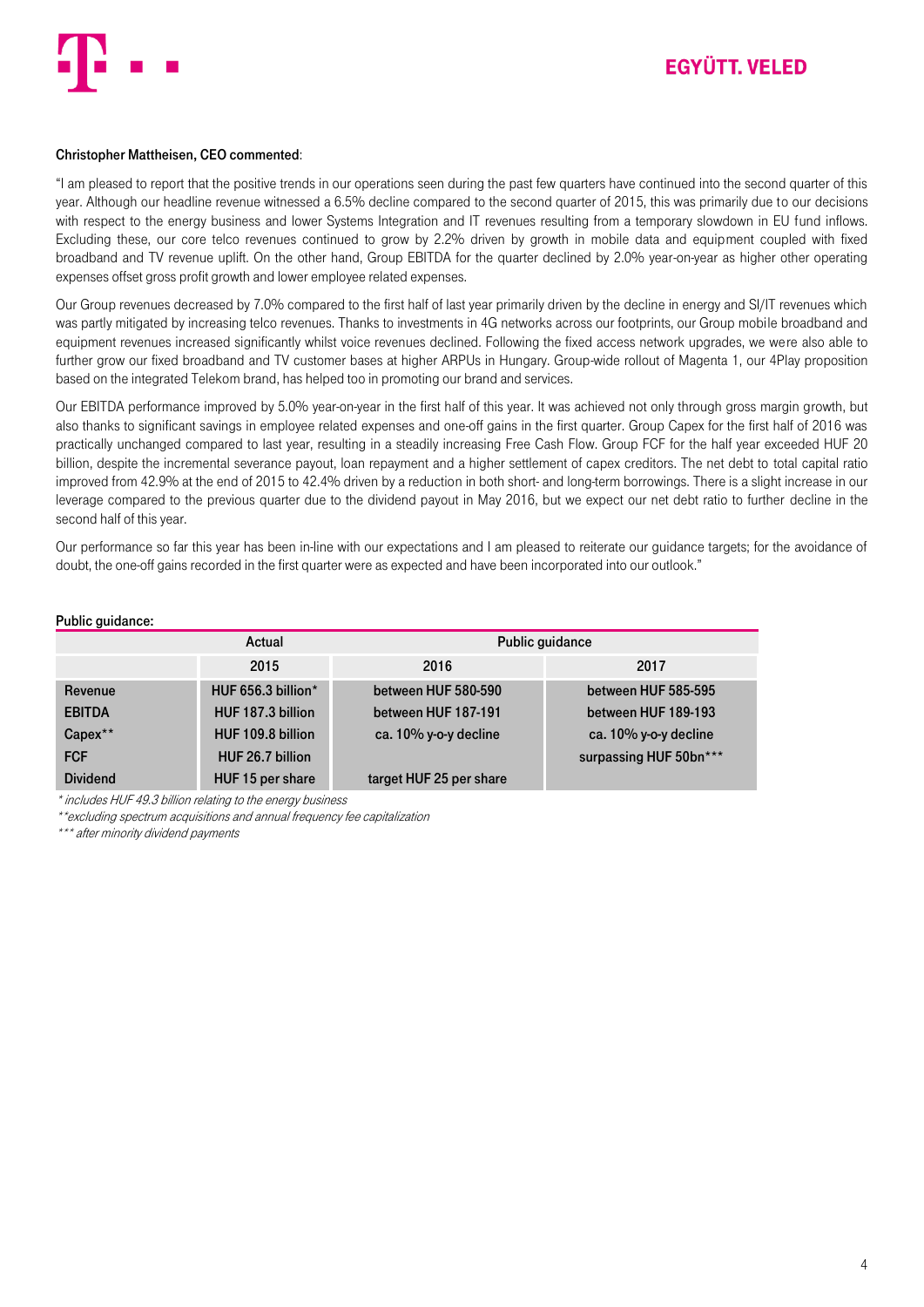

#### Christopher Mattheisen, CEO commented:

"I am pleased to report that the positive trends in our operations seen during the past few quarters have continued into the second quarter of this year. Although our headline revenue witnessed a 6.5% decline compared to the second quarter of 2015, this was primarily due to our decisions with respect to the energy business and lower Systems Integration and IT revenues resulting from a temporary slowdown in EU fund inflows. Excluding these, our core telco revenues continued to grow by 2.2% driven by growth in mobile data and equipment coupled with fixed broadband and TV revenue uplift. On the other hand, Group EBITDA for the quarter declined by 2.0% year-on-year as higher other operating expenses offset gross profit growth and lower employee related expenses.

Our Group revenues decreased by 7.0% compared to the first half of last year primarily driven by the decline in energy and SI/IT revenues which was partly mitigated by increasing telco revenues. Thanks to investments in 4G networks across our footprints, our Group mobile broadband and equipment revenues increased significantly whilst voice revenues declined. Following the fixed access network upgrades, we were also able to further grow our fixed broadband and TV customer bases at higher ARPUs in Hungary. Group-wide rollout of Magenta 1, our 4Play proposition based on the integrated Telekom brand, has helped too in promoting our brand and services.

Our EBITDA performance improved by 5.0% year-on-year in the first half of this year. It was achieved not only through gross margin growth, but also thanks to significant savings in employee related expenses and one-off gains in the first quarter. Group Capex for the first half of 2016 was practically unchanged compared to last year, resulting in a steadily increasing Free Cash Flow. Group FCF for the half year exceeded HUF 20 billion, despite the incremental severance payout, loan repayment and a higher settlement of capex creditors. The net debt to total capital ratio improved from 42.9% at the end of 2015 to 42.4% driven by a reduction in both short- and long-term borrowings. There is a slight increase in our leverage compared to the previous quarter due to the dividend payout in May 2016, but we expect our net debt ratio to further decline in the second half of this year.

Our performance so far this year has been in-line with our expectations and I am pleased to reiterate our guidance targets; for the avoidance of doubt, the one-off gains recorded in the first quarter were as expected and have been incorporated into our outlook."

#### Public guidance:

|                 | Actual             | Public guidance         |                        |
|-----------------|--------------------|-------------------------|------------------------|
|                 | 2015               | 2016                    | 2017                   |
| Revenue         | HUF 656.3 billion* | between HUF 580-590     | between HUF 585-595    |
| <b>EBITDA</b>   | HUF 187.3 billion  | between HUF 187-191     | between HUF 189-193    |
| Capex**         | HUF 109.8 billion  | ca. 10% y-o-y decline   | ca. 10% y-o-y decline  |
| <b>FCF</b>      | HUF 26.7 billion   |                         | surpassing HUF 50bn*** |
| <b>Dividend</b> | HUF 15 per share   | target HUF 25 per share |                        |

\* includes HUF 49.3 billion relating to the energy business

\*\*excluding spectrum acquisitions and annual frequency fee capitalization

\*\*\* after minority dividend payments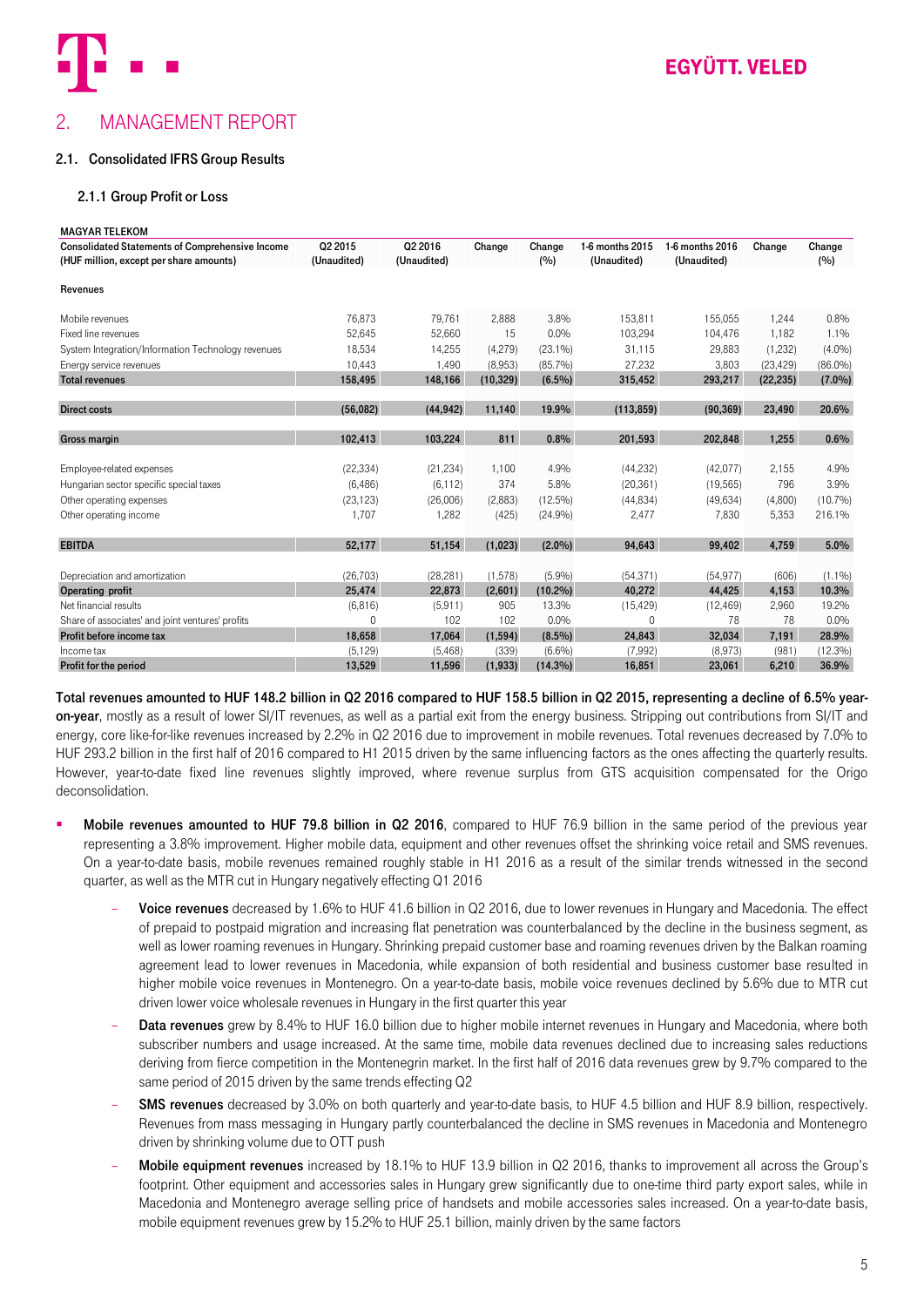

# <span id="page-4-0"></span>2. MANAGEMENT REPORT

#### <span id="page-4-2"></span><span id="page-4-1"></span>2.1. Consolidated IFRS Group Results

#### 2.1.1 Group Profit or Loss

| <b>MAGYAR TELEKOM</b>                                                                             |                        |                        |           |               |                                |                                |           |               |
|---------------------------------------------------------------------------------------------------|------------------------|------------------------|-----------|---------------|--------------------------------|--------------------------------|-----------|---------------|
| <b>Consolidated Statements of Comprehensive Income</b><br>(HUF million, except per share amounts) | Q2 2015<br>(Unaudited) | Q2 2016<br>(Unaudited) | Change    | Change<br>(%) | 1-6 months 2015<br>(Unaudited) | 1-6 months 2016<br>(Unaudited) | Change    | Change<br>(%) |
|                                                                                                   |                        |                        |           |               |                                |                                |           |               |
| Revenues                                                                                          |                        |                        |           |               |                                |                                |           |               |
| Mobile revenues                                                                                   | 76,873                 | 79,761                 | 2,888     | 3.8%          | 153,811                        | 155,055                        | 1,244     | 0.8%          |
| Fixed line revenues                                                                               | 52,645                 | 52,660                 | 15        | 0.0%          | 103,294                        | 104.476                        | 1.182     | 1.1%          |
| System Integration/Information Technology revenues                                                | 18,534                 | 14.255                 | (4,279)   | $(23.1\%)$    | 31.115                         | 29,883                         | (1,232)   | (4.0%)        |
| Energy service revenues                                                                           | 10,443                 | 1,490                  | (8,953)   | $(85.7\%)$    | 27,232                         | 3,803                          | (23, 429) | $(86.0\%)$    |
| <b>Total revenues</b>                                                                             | 158,495                | 148,166                | (10, 329) | $(6.5\%)$     | 315,452                        | 293,217                        | (22, 235) | $(7.0\%)$     |
|                                                                                                   |                        |                        |           |               |                                |                                |           |               |
| <b>Direct costs</b>                                                                               | (56,082)               | (44, 942)              | 11.140    | 19.9%         | (113, 859)                     | (90, 369)                      | 23,490    | 20.6%         |
| <b>Gross margin</b>                                                                               | 102,413                | 103,224                | 811       | 0.8%          | 201,593                        | 202,848                        | 1,255     | 0.6%          |
| Employee-related expenses                                                                         | (22, 334)              | (21, 234)              | 1,100     | 4.9%          | (44, 232)                      | (42,077)                       | 2,155     | 4.9%          |
| Hungarian sector specific special taxes                                                           | (6, 486)               | (6, 112)               | 374       | 5.8%          | (20, 361)                      | (19, 565)                      | 796       | 3.9%          |
| Other operating expenses                                                                          | (23, 123)              | (26,006)               | (2,883)   | $(12.5\%)$    | (44, 834)                      | (49, 634)                      | (4,800)   | (10.7%)       |
| Other operating income                                                                            | 1,707                  | 1,282                  | (425)     | (24.9%)       | 2,477                          | 7,830                          | 5,353     | 216.1%        |
| <b>EBITDA</b>                                                                                     | 52.177                 | 51,154                 | (1,023)   | $(2.0\%)$     | 94.643                         | 99.402                         | 4.759     | 5.0%          |
|                                                                                                   |                        |                        |           |               |                                |                                |           |               |
| Depreciation and amortization                                                                     | (26, 703)              | (28, 281)              | (1,578)   | (5.9%)        | (54, 371)                      | (54, 977)                      | (606)     | $(1.1\%)$     |
| Operating profit                                                                                  | 25,474                 | 22,873                 | (2,601)   | $(10.2\%)$    | 40,272                         | 44,425                         | 4,153     | 10.3%         |
| Net financial results                                                                             | (6, 816)               | (5,911)                | 905       | 13.3%         | (15, 429)                      | (12, 469)                      | 2,960     | 19.2%         |
| Share of associates' and joint ventures' profits                                                  | $\Omega$               | 102                    | 102       | 0.0%          | $\Omega$                       | 78                             | 78        | 0.0%          |
| Profit before income tax                                                                          | 18,658                 | 17,064                 | (1,594)   | $(8.5\%)$     | 24,843                         | 32,034                         | 7,191     | 28.9%         |
| Income tax                                                                                        | (5, 129)               | (5,468)                | (339)     | (6.6%)        | (7,992)                        | (8,973)                        | (981)     | $(12.3\%)$    |
| Profit for the period                                                                             | 13,529                 | 11,596                 | (1, 933)  | $(14.3\%)$    | 16,851                         | 23,061                         | 6,210     | 36.9%         |

Total revenues amounted to HUF 148.2 billion in Q2 2016 compared to HUF 158.5 billion in Q2 2015, representing a decline of 6.5% yearon-year, mostly as a result of lower SI/IT revenues, as well as a partial exit from the energy business. Stripping out contributions from SI/IT and energy, core like-for-like revenues increased by 2.2% in Q2 2016 due to improvement in mobile revenues. Total revenues decreased by 7.0% to HUF 293.2 billion in the first half of 2016 compared to H1 2015 driven by the same influencing factors as the ones affecting the quarterly results. However, year-to-date fixed line revenues slightly improved, where revenue surplus from GTS acquisition compensated for the Origo deconsolidation.

- Mobile revenues amounted to HUF 79.8 billion in Q2 2016, compared to HUF 76.9 billion in the same period of the previous year representing a 3.8% improvement. Higher mobile data, equipment and other revenues offset the shrinking voice retail and SMS revenues. On a year-to-date basis, mobile revenues remained roughly stable in H1 2016 as a result of the similar trends witnessed in the second quarter, as well as the MTR cut in Hungary negatively effecting Q1 2016
	- Voice revenues decreased by 1.6% to HUF 41.6 billion in Q2 2016, due to lower revenues in Hungary and Macedonia. The effect of prepaid to postpaid migration and increasing flat penetration was counterbalanced by the decline in the business segment, as well as lower roaming revenues in Hungary. Shrinking prepaid customer base and roaming revenues driven by the Balkan roaming agreement lead to lower revenues in Macedonia, while expansion of both residential and business customer base resulted in higher mobile voice revenues in Montenegro. On a year-to-date basis, mobile voice revenues declined by 5.6% due to MTR cut driven lower voice wholesale revenues in Hungary in the first quarter this year
	- Data revenues grew by 8.4% to HUF 16.0 billion due to higher mobile internet revenues in Hungary and Macedonia, where both subscriber numbers and usage increased. At the same time, mobile data revenues declined due to increasing sales reductions deriving from fierce competition in the Montenegrin market. In the first half of 2016 data revenues grew by 9.7% compared to the same period of 2015 driven by the same trends effecting Q2
	- SMS revenues decreased by 3.0% on both quarterly and year-to-date basis, to HUF 4.5 billion and HUF 8.9 billion, respectively. Revenues from mass messaging in Hungary partly counterbalanced the decline in SMS revenues in Macedonia and Montenegro driven by shrinking volume due to OTT push
	- Mobile equipment revenues increased by 18.1% to HUF 13.9 billion in Q2 2016, thanks to improvement all across the Group's footprint. Other equipment and accessories sales in Hungary grew significantly due to one-time third party export sales, while in Macedonia and Montenegro average selling price of handsets and mobile accessories sales increased. On a year-to-date basis, mobile equipment revenues grew by 15.2% to HUF 25.1 billion, mainly driven by the same factors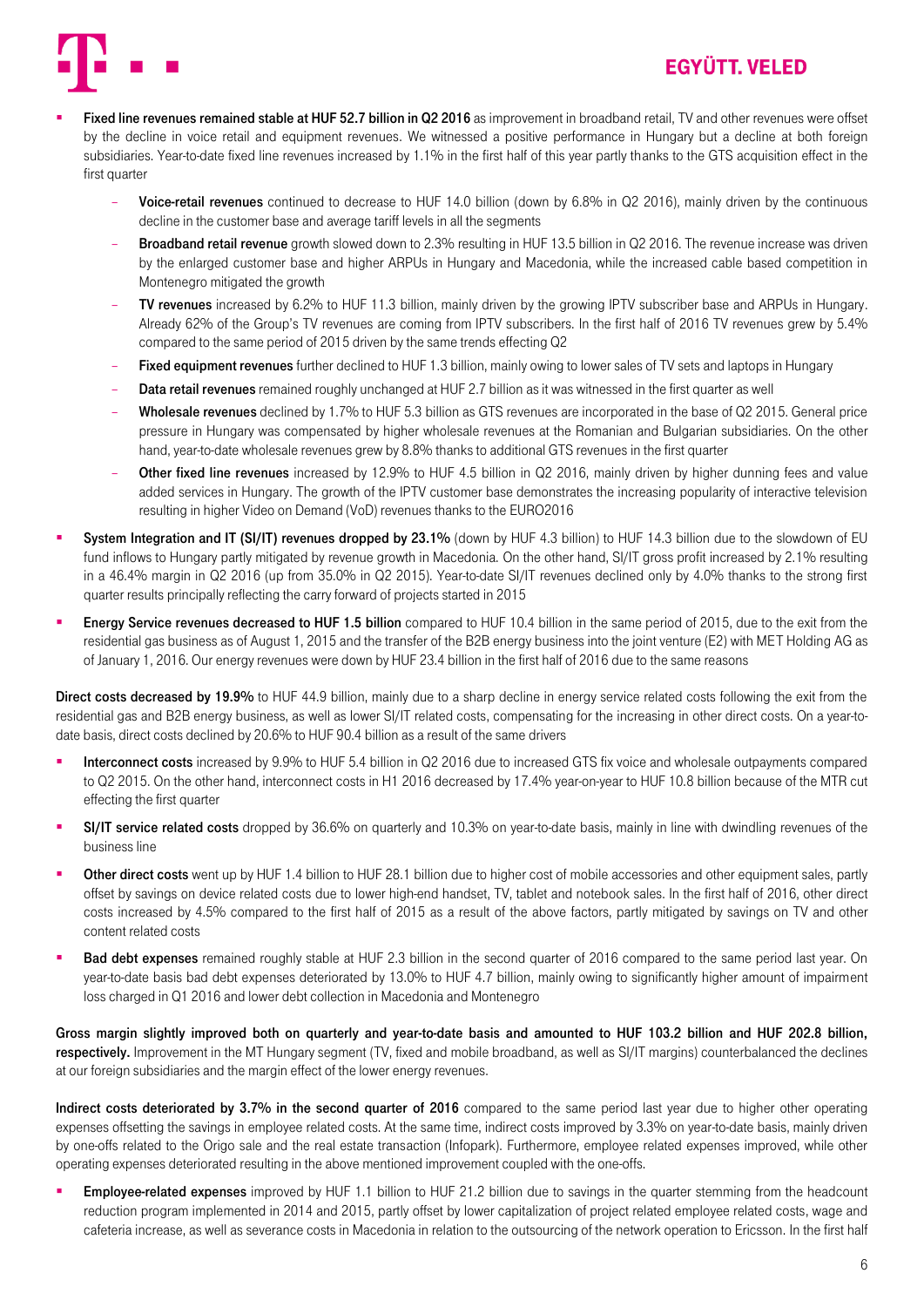

- Fixed line revenues remained stable at HUF 52.7 billion in Q2 2016 as improvement in broadband retail, TV and other revenues were offset by the decline in voice retail and equipment revenues. We witnessed a positive performance in Hungary but a decline at both foreign subsidiaries. Year-to-date fixed line revenues increased by 1.1% in the first half of this year partly thanks to the GTS acquisition effect in the first quarter
	- Voice-retail revenues continued to decrease to HUF 14.0 billion (down by 6.8% in Q2 2016), mainly driven by the continuous decline in the customer base and average tariff levels in all the segments
	- **Broadband retail revenue** growth slowed down to 2.3% resulting in HUF 13.5 billion in Q2 2016. The revenue increase was driven by the enlarged customer base and higher ARPUs in Hungary and Macedonia, while the increased cable based competition in Montenegro mitigated the growth
	- TV revenues increased by 6.2% to HUF 11.3 billion, mainly driven by the growing IPTV subscriber base and ARPUs in Hungary. Already 62% of the Group's TV revenues are coming from IPTV subscribers. In the first half of 2016 TV revenues grew by 5.4% compared to the same period of 2015 driven by the same trends effecting Q2
	- Fixed equipment revenues further declined to HUF 1.3 billion, mainly owing to lower sales of TV sets and laptops in Hungary
	- **Data retail revenues** remained roughly unchanged at HUF 2.7 billion as it was witnessed in the first quarter as well
	- Wholesale revenues declined by 1.7% to HUF 5.3 billion as GTS revenues are incorporated in the base of Q2 2015. General price pressure in Hungary was compensated by higher wholesale revenues at the Romanian and Bulgarian subsidiaries. On the other hand, year-to-date wholesale revenues grew by 8.8% thanks to additional GTS revenues in the first quarter
	- Other fixed line revenues increased by 12.9% to HUF 4.5 billion in Q2 2016, mainly driven by higher dunning fees and value added services in Hungary. The growth of the IPTV customer base demonstrates the increasing popularity of interactive television resulting in higher Video on Demand (VoD) revenues thanks to the EURO2016
- System Integration and IT (SI/IT) revenues dropped by 23.1% (down by HUF 4.3 billion) to HUF 14.3 billion due to the slowdown of EU fund inflows to Hungary partly mitigated by revenue growth in Macedonia. On the other hand, SI/IT gross profit increased by 2.1% resulting in a 46.4% margin in Q2 2016 (up from 35.0% in Q2 2015). Year-to-date SI/IT revenues declined only by 4.0% thanks to the strong first quarter results principally reflecting the carry forward of projects started in 2015
- Energy Service revenues decreased to HUF 1.5 billion compared to HUF 10.4 billion in the same period of 2015, due to the exit from the residential gas business as of August 1, 2015 and the transfer of the B2B energy business into the joint venture (E2) with MET Holding AG as of January 1, 2016. Our energy revenues were down by HUF 23.4 billion in the first half of 2016 due to the same reasons

Direct costs decreased by 19.9% to HUF 44.9 billion, mainly due to a sharp decline in energy service related costs following the exit from the residential gas and B2B energy business, as well as lower SI/IT related costs, compensating for the increasing in other direct costs. On a year-todate basis, direct costs declined by 20.6% to HUF 90.4 billion as a result of the same drivers

- Interconnect costs increased by 9.9% to HUF 5.4 billion in Q2 2016 due to increased GTS fix voice and wholesale outpayments compared to Q2 2015. On the other hand, interconnect costs in H1 2016 decreased by 17.4% year-on-year to HUF 10.8 billion because of the MTR cut effecting the first quarter
- SI/IT service related costs dropped by 36.6% on quarterly and 10.3% on year-to-date basis, mainly in line with dwindling revenues of the business line
- Other direct costs went up by HUF 1.4 billion to HUF 28.1 billion due to higher cost of mobile accessories and other equipment sales, partly offset by savings on device related costs due to lower high-end handset, TV, tablet and notebook sales. In the first half of 2016, other direct costs increased by 4.5% compared to the first half of 2015 as a result of the above factors, partly mitigated by savings on TV and other content related costs
- Bad debt expenses remained roughly stable at HUF 2.3 billion in the second quarter of 2016 compared to the same period last year. On year-to-date basis bad debt expenses deteriorated by 13.0% to HUF 4.7 billion, mainly owing to significantly higher amount of impairment loss charged in Q1 2016 and lower debt collection in Macedonia and Montenegro

Gross margin slightly improved both on quarterly and year-to-date basis and amounted to HUF 103.2 billion and HUF 202.8 billion, respectively. Improvement in the MT Hungary segment (TV, fixed and mobile broadband, as well as SI/IT margins) counterbalanced the declines at our foreign subsidiaries and the margin effect of the lower energy revenues.

Indirect costs deteriorated by 3.7% in the second quarter of 2016 compared to the same period last year due to higher other operating expenses offsetting the savings in employee related costs. At the same time, indirect costs improved by 3.3% on year-to-date basis, mainly driven by one-offs related to the Origo sale and the real estate transaction (Infopark). Furthermore, employee related expenses improved, while other operating expenses deteriorated resulting in the above mentioned improvement coupled with the one-offs.

Employee-related expenses improved by HUF 1.1 billion to HUF 21.2 billion due to savings in the quarter stemming from the headcount reduction program implemented in 2014 and 2015, partly offset by lower capitalization of project related employee related costs, wage and cafeteria increase, as well as severance costs in Macedonia in relation to the outsourcing of the network operation to Ericsson. In the first half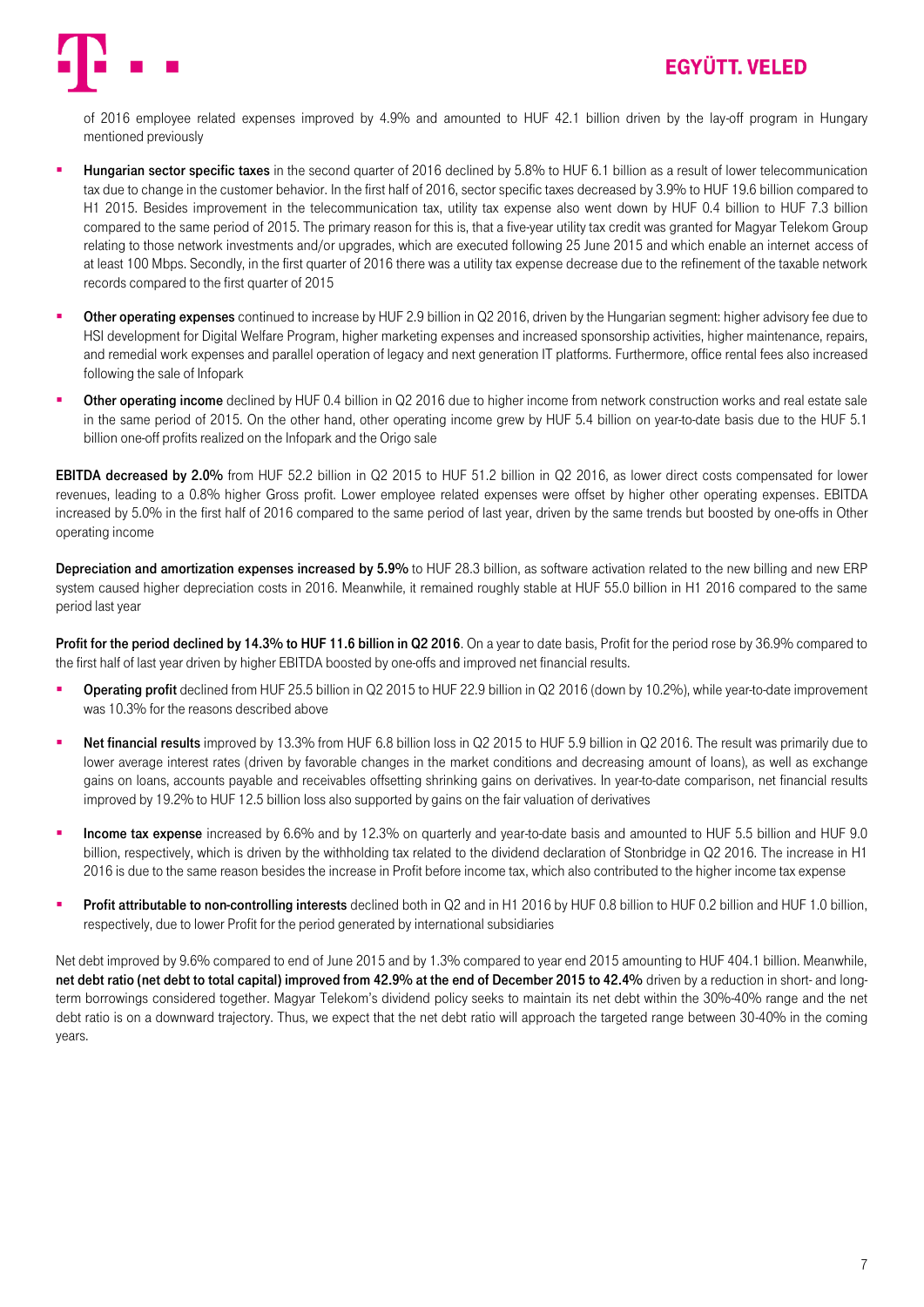

of 2016 employee related expenses improved by 4.9% and amounted to HUF 42.1 billion driven by the lay-off program in Hungary mentioned previously

- Hungarian sector specific taxes in the second quarter of 2016 declined by 5.8% to HUF 6.1 billion as a result of lower telecommunication tax due to change in the customer behavior. In the first half of 2016, sector specific taxes decreased by 3.9% to HUF 19.6 billion compared to H1 2015. Besides improvement in the telecommunication tax, utility tax expense also went down by HUF 0.4 billion to HUF 7.3 billion compared to the same period of 2015. The primary reason for this is, that a five-year utility tax credit was granted for Magyar Telekom Group relating to those network investments and/or upgrades, which are executed following 25 June 2015 and which enable an internet access of at least 100 Mbps. Secondly, in the first quarter of 2016 there was a utility tax expense decrease due to the refinement of the taxable network records compared to the first quarter of 2015
- **Other operating expenses** continued to increase by HUF 2.9 billion in Q2 2016, driven by the Hungarian segment: higher advisory fee due to HSI development for Digital Welfare Program, higher marketing expenses and increased sponsorship activities, higher maintenance, repairs, and remedial work expenses and parallel operation of legacy and next generation IT platforms. Furthermore, office rental fees also increased following the sale of Infopark
- Other operating income declined by HUF 0.4 billion in Q2 2016 due to higher income from network construction works and real estate sale in the same period of 2015. On the other hand, other operating income grew by HUF 5.4 billion on year-to-date basis due to the HUF 5.1 billion one-off profits realized on the Infopark and the Origo sale

EBITDA decreased by 2.0% from HUF 52.2 billion in Q2 2015 to HUF 51.2 billion in Q2 2016, as lower direct costs compensated for lower revenues, leading to a 0.8% higher Gross profit. Lower employee related expenses were offset by higher other operating expenses. EBITDA increased by 5.0% in the first half of 2016 compared to the same period of last year, driven by the same trends but boosted by one-offs in Other operating income

Depreciation and amortization expenses increased by 5.9% to HUF 28.3 billion, as software activation related to the new billing and new ERP system caused higher depreciation costs in 2016. Meanwhile, it remained roughly stable at HUF 55.0 billion in H1 2016 compared to the same period last year

Profit for the period declined by 14.3% to HUF 11.6 billion in Q2 2016. On a year to date basis, Profit for the period rose by 36.9% compared to the first half of last year driven by higher EBITDA boosted by one-offs and improved net financial results.

- **Deerating profit** declined from HUF 25.5 billion in Q2 2015 to HUF 22.9 billion in Q2 2016 (down by 10.2%), while year-to-date improvement was 10.3% for the reasons described above
- **Net financial results** improved by 13.3% from HUF 6.8 billion loss in Q2 2015 to HUF 5.9 billion in Q2 2016. The result was primarily due to lower average interest rates (driven by favorable changes in the market conditions and decreasing amount of loans), as well as exchange gains on loans, accounts payable and receivables offsetting shrinking gains on derivatives. In year-to-date comparison, net financial results improved by 19.2% to HUF 12.5 billion loss also supported by gains on the fair valuation of derivatives
- Income tax expense increased by 6.6% and by 12.3% on quarterly and year-to-date basis and amounted to HUF 5.5 billion and HUF 9.0 billion, respectively, which is driven by the withholding tax related to the dividend declaration of Stonbridge in Q2 2016. The increase in H1 2016 is due to the same reason besides the increase in Profit before income tax, which also contributed to the higher income tax expense
- Profit attributable to non-controlling interests declined both in Q2 and in H1 2016 by HUF 0.8 billion to HUF 0.2 billion and HUF 1.0 billion, respectively, due to lower Profit for the period generated by international subsidiaries

Net debt improved by 9.6% compared to end of June 2015 and by 1.3% compared to year end 2015 amounting to HUF 404.1 billion. Meanwhile, net debt ratio (net debt to total capital) improved from 42.9% at the end of December 2015 to 42.4% driven by a reduction in short- and longterm borrowings considered together. Magyar Telekom's dividend policy seeks to maintain its net debt within the 30%-40% range and the net debt ratio is on a downward trajectory. Thus, we expect that the net debt ratio will approach the targeted range between 30-40% in the coming years.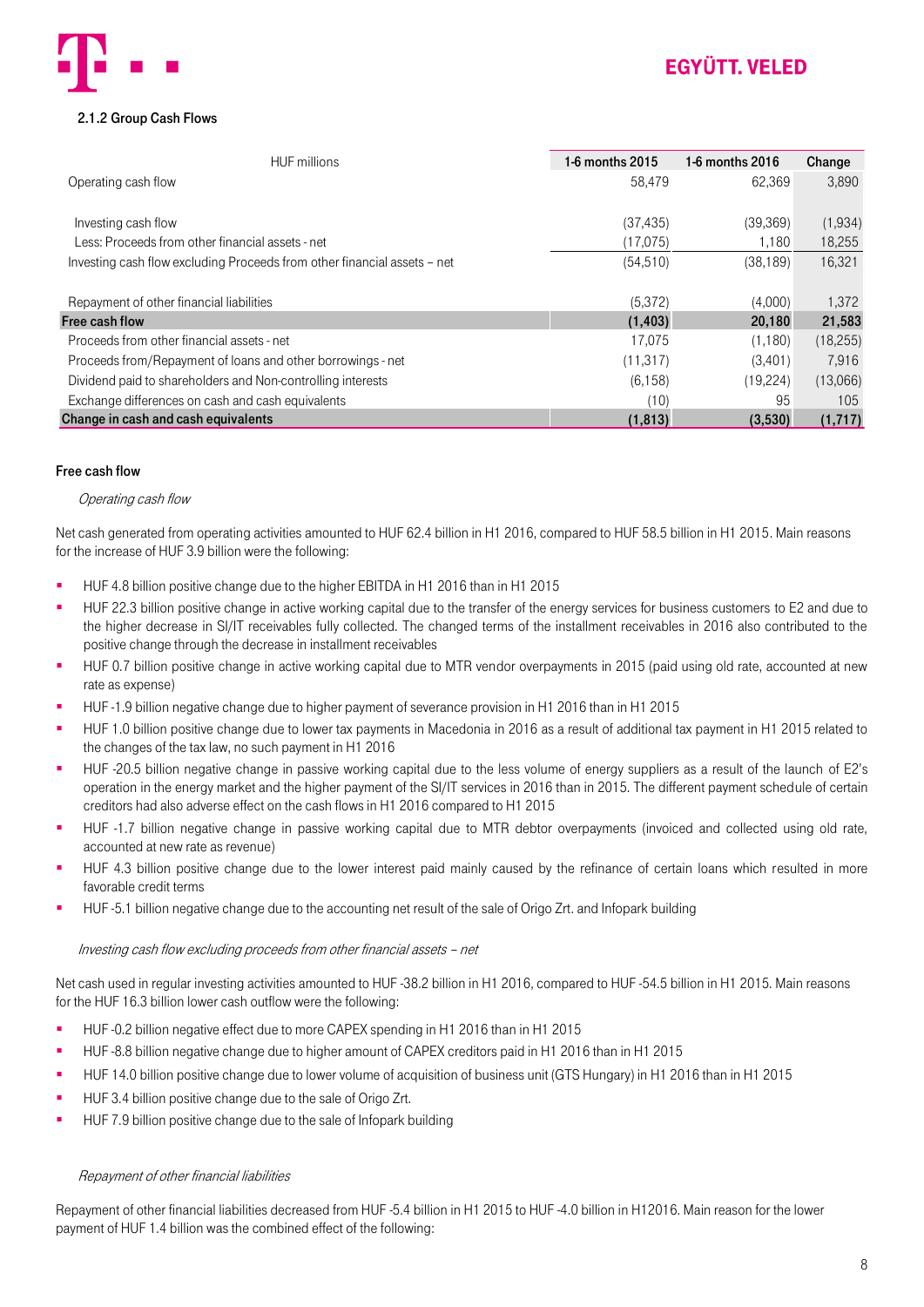

### <span id="page-7-0"></span>2.1.2 Group Cash Flows

| <b>HUF</b> millions                                                      | 1-6 months 2015 | 1-6 months 2016 | Change    |
|--------------------------------------------------------------------------|-----------------|-----------------|-----------|
| Operating cash flow                                                      | 58,479          | 62.369          | 3.890     |
|                                                                          |                 |                 |           |
| Investing cash flow                                                      | (37, 435)       | (39, 369)       | (1,934)   |
| Less: Proceeds from other financial assets - net                         | (17,075)        | 1.180           | 18,255    |
| Investing cash flow excluding Proceeds from other financial assets - net | (54, 510)       | (38, 189)       | 16,321    |
|                                                                          |                 |                 |           |
| Repayment of other financial liabilities                                 | (5, 372)        | (4,000)         | 1,372     |
| Free cash flow                                                           | (1, 403)        | 20,180          | 21,583    |
| Proceeds from other financial assets - net                               | 17.075          | (1,180)         | (18, 255) |
| Proceeds from/Repayment of loans and other borrowings - net              | (11, 317)       | (3,401)         | 7.916     |
| Dividend paid to shareholders and Non-controlling interests              | (6, 158)        | (19, 224)       | (13,066)  |
| Exchange differences on cash and cash equivalents                        | (10)            | 95              | 105       |
| Change in cash and cash equivalents                                      | (1, 813)        | (3,530)         | (1,717)   |

#### Free cash flow

#### Operating cash flow

Net cash generated from operating activities amounted to HUF 62.4 billion in H1 2016, compared to HUF 58.5 billion in H1 2015. Main reasons for the increase of HUF 3.9 billion were the following:

- HUF 4.8 billion positive change due to the higher EBITDA in H1 2016 than in H1 2015
- HUF 22.3 billion positive change in active working capital due to the transfer of the energy services for business customers to E2 and due to the higher decrease in SI/IT receivables fully collected. The changed terms of the installment receivables in 2016 also contributed to the positive change through the decrease in installment receivables
- HUF 0.7 billion positive change in active working capital due to MTR vendor overpayments in 2015 (paid using old rate, accounted at new rate as expense)
- HUF -1.9 billion negative change due to higher payment of severance provision in H1 2016 than in H1 2015
- HUF 1.0 billion positive change due to lower tax payments in Macedonia in 2016 as a result of additional tax payment in H1 2015 related to the changes of the tax law, no such payment in H1 2016
- HUF -20.5 billion negative change in passive working capital due to the less volume of energy suppliers as a result of the launch of E2's operation in the energy market and the higher payment of the SI/IT services in 2016 than in 2015. The different payment schedule of certain creditors had also adverse effect on the cash flows in H1 2016 compared to H1 2015
- HUF -1.7 billion negative change in passive working capital due to MTR debtor overpayments (invoiced and collected using old rate, accounted at new rate as revenue)
- HUF 4.3 billion positive change due to the lower interest paid mainly caused by the refinance of certain loans which resulted in more favorable credit terms
- HUF -5.1 billion negative change due to the accounting net result of the sale of Origo Zrt. and Infopark building

#### Investing cash flow excluding proceeds from other financial assets – net

Net cash used in regular investing activities amounted to HUF -38.2 billion in H1 2016, compared to HUF -54.5 billion in H1 2015. Main reasons for the HUF 16.3 billion lower cash outflow were the following:

- HUF -0.2 billion negative effect due to more CAPEX spending in H1 2016 than in H1 2015
- HUF -8.8 billion negative change due to higher amount of CAPEX creditors paid in H1 2016 than in H1 2015
- HUF 14.0 billion positive change due to lower volume of acquisition of business unit (GTS Hungary) in H1 2016 than in H1 2015
- HUF 3.4 billion positive change due to the sale of Origo Zrt.
- HUF 7.9 billion positive change due to the sale of Infopark building

#### Repayment of other financial liabilities

Repayment of other financial liabilities decreased from HUF -5.4 billion in H1 2015 to HUF -4.0 billion in H12016. Main reason for the lower payment of HUF 1.4 billion was the combined effect of the following: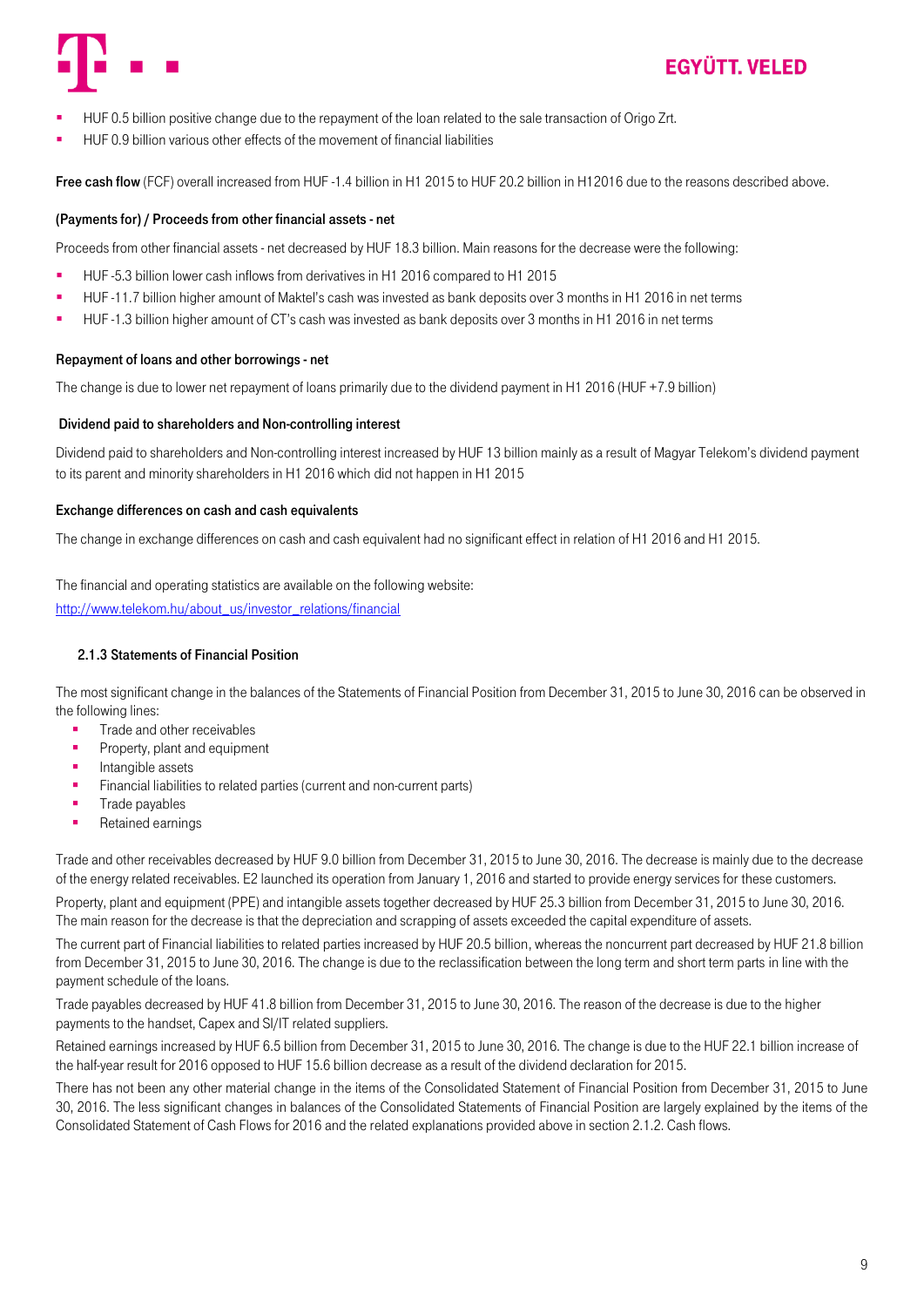

- HUF 0.5 billion positive change due to the repayment of the loan related to the sale transaction of Origo Zrt.
- HUF 0.9 billion various other effects of the movement of financial liabilities

Free cash flow (FCF) overall increased from HUF -1.4 billion in H1 2015 to HUF 20.2 billion in H12016 due to the reasons described above.

#### (Payments for) / Proceeds from other financial assets - net

Proceeds from other financial assets - net decreased by HUF 18.3 billion. Main reasons for the decrease were the following:

- HUF -5.3 billion lower cash inflows from derivatives in H1 2016 compared to H1 2015
- HUF -11.7 billion higher amount of Maktel's cash was invested as bank deposits over 3 months in H1 2016 in net terms
- HUF -1.3 billion higher amount of CT's cash was invested as bank deposits over 3 months in H1 2016 in net terms

#### Repayment of loans and other borrowings - net

The change is due to lower net repayment of loans primarily due to the dividend payment in H1 2016 (HUF +7.9 billion)

#### Dividend paid to shareholders and Non-controlling interest

Dividend paid to shareholders and Non-controlling interest increased by HUF 13 billion mainly as a result of Magyar Telekom's dividend payment to its parent and minority shareholders in H1 2016 which did not happen in H1 2015

#### Exchange differences on cash and cash equivalents

The change in exchange differences on cash and cash equivalent had no significant effect in relation of H1 2016 and H1 2015.

The financial and operating statistics are available on the following website: [http://www.telekom.hu/about\\_us/investor\\_relations/financial](http://www.telekom.hu/about_us/investor_relations/financial)

#### <span id="page-8-0"></span>2.1.3 Statements of Financial Position

The most significant change in the balances of the Statements of Financial Position from December 31, 2015 to June 30, 2016 can be observed in the following lines:

- **Trade and other receivables**
- **Property, plant and equipment**
- $\blacksquare$ Intangible assets
- Financial liabilities to related parties (current and non-current parts)
- Trade payables
- **Retained earnings**

Trade and other receivables decreased by HUF 9.0 billion from December 31, 2015 to June 30, 2016. The decrease is mainly due to the decrease of the energy related receivables. E2 launched its operation from January 1, 2016 and started to provide energy services for these customers.

Property, plant and equipment (PPE) and intangible assets together decreased by HUF 25.3 billion from December 31, 2015 to June 30, 2016. The main reason for the decrease is that the depreciation and scrapping of assets exceeded the capital expenditure of assets.

The current part of Financial liabilities to related parties increased by HUF 20.5 billion, whereas the noncurrent part decreased by HUF 21.8 billion from December 31, 2015 to June 30, 2016. The change is due to the reclassification between the long term and short term parts in line with the payment schedule of the loans.

Trade payables decreased by HUF 41.8 billion from December 31, 2015 to June 30, 2016. The reason of the decrease is due to the higher payments to the handset, Capex and SI/IT related suppliers.

Retained earnings increased by HUF 6.5 billion from December 31, 2015 to June 30, 2016. The change is due to the HUF 22.1 billion increase of the half-year result for 2016 opposed to HUF 15.6 billion decrease as a result of the dividend declaration for 2015.

There has not been any other material change in the items of the Consolidated Statement of Financial Position from December 31, 2015 to June 30, 2016. The less significant changes in balances of the Consolidated Statements of Financial Position are largely explained by the items of the Consolidated Statement of Cash Flows for 2016 and the related explanations provided above in section 2.1.2. Cash flows.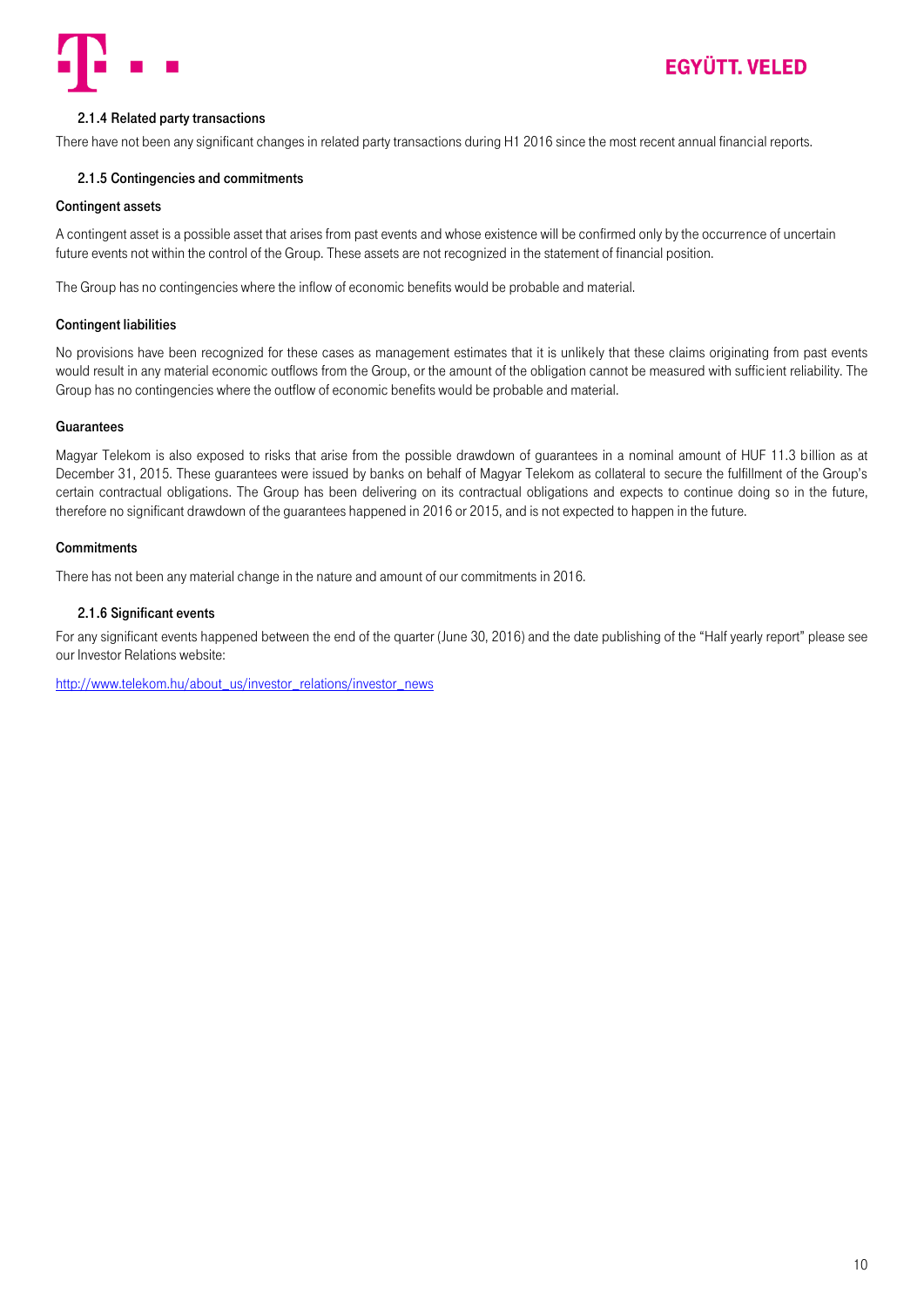

### <span id="page-9-0"></span>2.1.4 Related party transactions

<span id="page-9-1"></span>There have not been any significant changes in related party transactions during H1 2016 since the most recent annual financial reports.

#### 2.1.5 Contingencies and commitments

#### Contingent assets

A contingent asset is a possible asset that arises from past events and whose existence will be confirmed only by the occurrence of uncertain future events not within the control of the Group. These assets are not recognized in the statement of financial position.

The Group has no contingencies where the inflow of economic benefits would be probable and material.

#### Contingent liabilities

No provisions have been recognized for these cases as management estimates that it is unlikely that these claims originating from past events would result in any material economic outflows from the Group, or the amount of the obligation cannot be measured with sufficient reliability. The Group has no contingencies where the outflow of economic benefits would be probable and material.

#### **Guarantees**

Magyar Telekom is also exposed to risks that arise from the possible drawdown of guarantees in a nominal amount of HUF 11.3 billion as at December 31, 2015. These guarantees were issued by banks on behalf of Magyar Telekom as collateral to secure the fulfillment of the Group's certain contractual obligations. The Group has been delivering on its contractual obligations and expects to continue doing so in the future, therefore no significant drawdown of the guarantees happened in 2016 or 2015, and is not expected to happen in the future.

#### **Commitments**

There has not been any material change in the nature and amount of our commitments in 2016.

#### <span id="page-9-2"></span>2.1.6 Significant events

For any significant events happened between the end of the quarter (June 30, 2016) and the date publishing of the "Half yearly report" please see our Investor Relations website:

[http://www.telekom.hu/about\\_us/investor\\_relations/investor\\_news](http://www.telekom.hu/about_us/investor_relations/investor_news)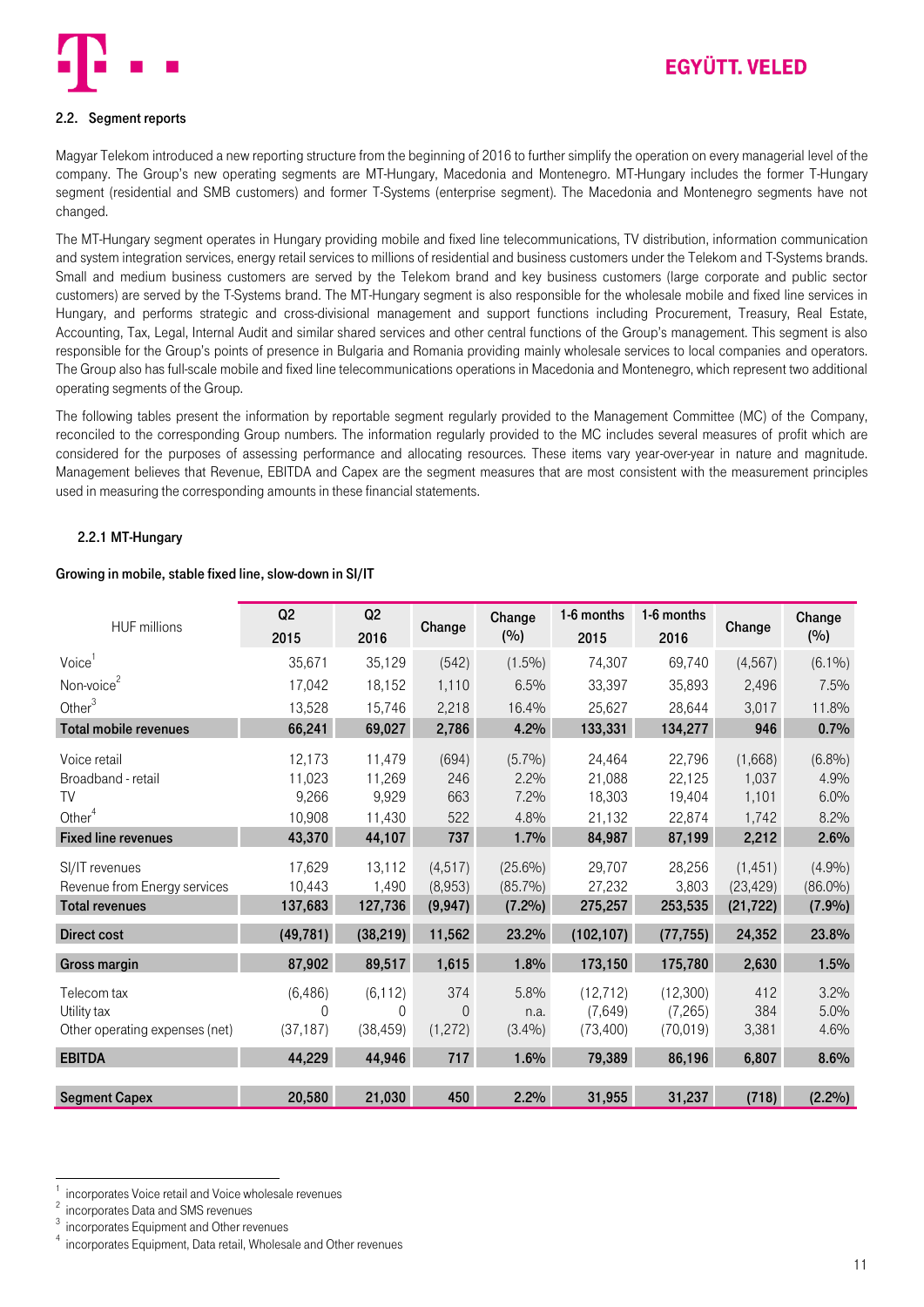

### <span id="page-10-0"></span>2.2. Segment reports

Magyar Telekom introduced a new reporting structure from the beginning of 2016 to further simplify the operation on every managerial level of the company. The Group's new operating segments are MT-Hungary, Macedonia and Montenegro. MT-Hungary includes the former T-Hungary segment (residential and SMB customers) and former T-Systems (enterprise segment). The Macedonia and Montenegro segments have not changed.

The MT-Hungary segment operates in Hungary providing mobile and fixed line telecommunications, TV distribution, information communication and system integration services, energy retail services to millions of residential and business customers under the Telekom and T-Systems brands. Small and medium business customers are served by the Telekom brand and key business customers (large corporate and public sector customers) are served by the T-Systems brand. The MT-Hungary segment is also responsible for the wholesale mobile and fixed line services in Hungary, and performs strategic and cross-divisional management and support functions including Procurement, Treasury, Real Estate, Accounting, Tax, Legal, Internal Audit and similar shared services and other central functions of the Group's management. This segment is also responsible for the Group's points of presence in Bulgaria and Romania providing mainly wholesale services to local companies and operators. The Group also has full-scale mobile and fixed line telecommunications operations in Macedonia and Montenegro, which represent two additional operating segments of the Group.

The following tables present the information by reportable segment regularly provided to the Management Committee (MC) of the Company, reconciled to the corresponding Group numbers. The information regularly provided to the MC includes several measures of profit which are considered for the purposes of assessing performance and allocating resources. These items vary year-over-year in nature and magnitude. Management believes that Revenue, EBITDA and Capex are the segment measures that are most consistent with the measurement principles used in measuring the corresponding amounts in these financial statements.

#### <span id="page-10-1"></span>2.2.1 MT-Hungary

#### Growing in mobile, stable fixed line, slow-down in SI/IT

| <b>HUF</b> millions                                                     | Q2<br>2015                  | Q2<br>2016                        | Change                          | Change<br>(9/0)                       | 1-6 months<br>2015                | 1-6 months<br>2016               | Change                             | Change<br>(%)                  |
|-------------------------------------------------------------------------|-----------------------------|-----------------------------------|---------------------------------|---------------------------------------|-----------------------------------|----------------------------------|------------------------------------|--------------------------------|
| Voice <sup>1</sup>                                                      | 35,671                      | 35,129                            | (542)                           | $(1.5\%)$                             | 74,307                            | 69.740                           | (4, 567)                           | $(6.1\%)$                      |
| Non-voice <sup>2</sup>                                                  | 17,042                      | 18,152                            | 1,110                           | 6.5%                                  | 33,397                            | 35,893                           | 2,496                              | 7.5%                           |
| Other $3$                                                               | 13,528                      | 15,746                            | 2,218                           | 16.4%                                 | 25,627                            | 28,644                           | 3,017                              | 11.8%                          |
| <b>Total mobile revenues</b>                                            | 66,241                      | 69,027                            | 2,786                           | 4.2%                                  | 133,331                           | 134,277                          | 946                                | 0.7%                           |
| Voice retail<br>Broadband - retail                                      | 12,173<br>11,023            | 11,479<br>11,269                  | (694)<br>246                    | $(5.7\%)$<br>2.2%                     | 24,464<br>21,088                  | 22,796<br>22,125                 | (1,668)<br>1,037                   | (6.8%)<br>4.9%                 |
| TV                                                                      | 9,266                       | 9,929                             | 663                             | 7.2%                                  | 18.303                            | 19.404                           | 1,101                              | 6.0%                           |
| Other <sup>4</sup>                                                      | 10,908                      | 11,430                            | 522                             | 4.8%                                  | 21,132                            | 22,874                           | 1,742                              | 8.2%                           |
| <b>Fixed line revenues</b>                                              | 43,370                      | 44,107                            | 737                             | 1.7%                                  | 84,987                            | 87,199                           | 2,212                              | 2.6%                           |
| SI/IT revenues<br>Revenue from Energy services<br><b>Total revenues</b> | 17,629<br>10,443<br>137,683 | 13,112<br>1,490<br>127,736        | (4, 517)<br>(8,953)<br>(9, 947) | $(25.6\%)$<br>$(85.7\%)$<br>$(7.2\%)$ | 29,707<br>27,232<br>275,257       | 28,256<br>3,803<br>253,535       | (1, 451)<br>(23, 429)<br>(21, 722) | (4.9%)<br>$(86.0\%)$<br>(7.9%) |
|                                                                         |                             |                                   |                                 |                                       |                                   |                                  |                                    |                                |
| <b>Direct cost</b>                                                      | (49, 781)                   | (38, 219)                         | 11,562                          | 23.2%                                 | (102, 107)                        | (77, 755)                        | 24,352                             | 23.8%                          |
| Gross margin                                                            | 87,902                      | 89,517                            | 1,615                           | 1.8%                                  | 173,150                           | 175,780                          | 2,630                              | 1.5%                           |
| Telecom tax<br>Utility tax<br>Other operating expenses (net)            | (6, 486)<br>0<br>(37, 187)  | (6, 112)<br>$\Omega$<br>(38, 459) | 374<br>$\theta$<br>(1,272)      | 5.8%<br>n.a.<br>(3.4%)                | (12, 712)<br>(7,649)<br>(73, 400) | (12,300)<br>(7,265)<br>(70, 019) | 412<br>384<br>3,381                | 3.2%<br>5.0%<br>4.6%           |
| <b>EBITDA</b>                                                           | 44,229                      | 44,946                            | 717                             | 1.6%                                  | 79,389                            | 86,196                           | 6,807                              | 8.6%                           |
| <b>Segment Capex</b>                                                    | 20,580                      | 21,030                            | 450                             | 2.2%                                  | 31,955                            | 31,237                           | (718)                              | $(2.2\%)$                      |

.

<sup>1</sup> incorporates Voice retail and Voice wholesale revenues  $\overline{2}$ 

incorporates Data and SMS revenues 3

incorporates Equipment and Other revenues

<sup>4</sup> incorporates Equipment, Data retail, Wholesale and Other revenues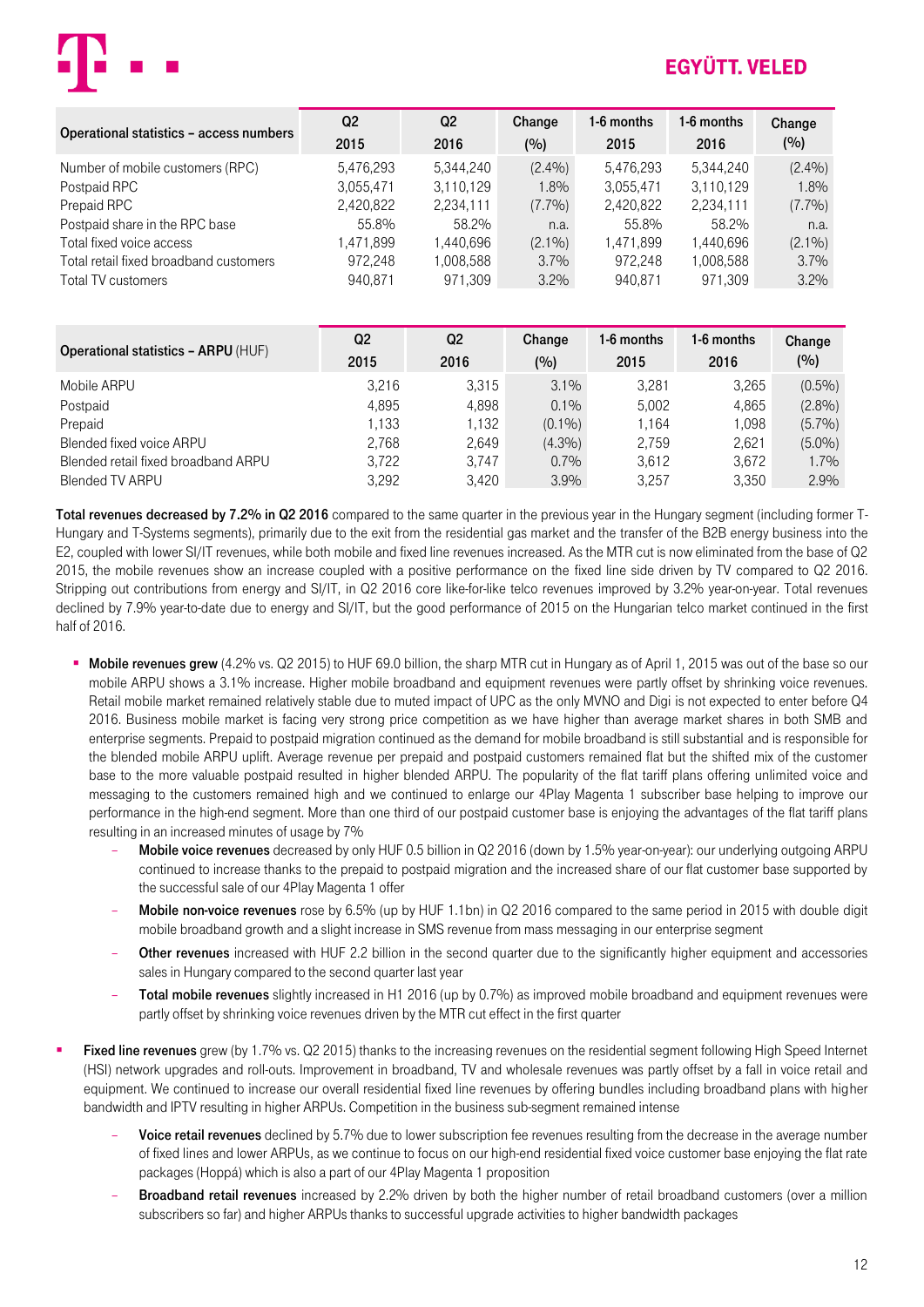

| Operational statistics - access numbers | Q <sub>2</sub> | Q <sub>2</sub> | Change    | 1-6 months | 1-6 months | Change    |
|-----------------------------------------|----------------|----------------|-----------|------------|------------|-----------|
|                                         | 2015           | 2016           | (%)       | 2015       | 2016       | (%)       |
| Number of mobile customers (RPC)        | 5,476,293      | 5,344,240      | (2.4%)    | 5,476,293  | 5.344.240  | (2.4%)    |
| Postpaid RPC                            | 3.055.471      | 3.110.129      | $1.8\%$   | 3,055,471  | 3,110,129  | 1.8%      |
| Prepaid RPC                             | 2,420,822      | 2,234,111      | (7.7%)    | 2,420,822  | 2,234,111  | $(7.7\%)$ |
| Postpaid share in the RPC base          | 55.8%          | 58.2%          | n.a.      | 55.8%      | 58.2%      | n.a.      |
| Total fixed voice access                | 1,471,899      | .440.696       | $(2.1\%)$ | 1,471,899  | 1.440.696  | $(2.1\%)$ |
| Total retail fixed broadband customers  | 972.248        | 008,588. ا     | 3.7%      | 972.248    | 1,008,588  | 3.7%      |
| Total TV customers                      | 940.871        | 971.309        | 3.2%      | 940.871    | 971.309    | 3.2%      |

| <b>Operational statistics - ARPU (HUF)</b> | Q <sub>2</sub><br>2015 | Q <sub>2</sub><br>2016 | Change<br>(%) | 1-6 months<br>2015 | 1-6 months<br>2016 | Change<br>(%) |
|--------------------------------------------|------------------------|------------------------|---------------|--------------------|--------------------|---------------|
| Mobile ARPU                                | 3.216                  | 3.315                  | $3.1\%$       | 3.281              | 3,265              | $(0.5\%)$     |
| Postpaid                                   | 4.895                  | 4.898                  | $0.1\%$       | 5.002              | 4.865              | $(2.8\%)$     |
| Prepaid                                    | 1.133                  | 1.132                  | $(0.1\%)$     | l.164              | 1.098              | $(5.7\%)$     |
| Blended fixed voice ARPU                   | 2.768                  | 2.649                  | $(4.3\%)$     | 2.759              | 2.621              | $(5.0\%)$     |
| Blended retail fixed broadband ARPU        | 3.722                  | 3.747                  | $0.7\%$       | 3.612              | 3.672              | 1.7%          |
| Blended TV ARPU                            | 3.292                  | 3.420                  | 3.9%          | 3.257              | 3,350              | 2.9%          |

Total revenues decreased by 7.2% in Q2 2016 compared to the same quarter in the previous year in the Hungary segment (including former T-Hungary and T-Systems segments), primarily due to the exit from the residential gas market and the transfer of the B2B energy business into the E2, coupled with lower SI/IT revenues, while both mobile and fixed line revenues increased. As the MTR cut is now eliminated from the base of Q2 2015, the mobile revenues show an increase coupled with a positive performance on the fixed line side driven by TV compared to Q2 2016. Stripping out contributions from energy and SI/IT, in Q2 2016 core like-for-like telco revenues improved by 3.2% year-on-year. Total revenues declined by 7.9% year-to-date due to energy and SI/IT, but the good performance of 2015 on the Hungarian telco market continued in the first half of 2016.

- **Mobile revenues grew** (4.2% vs. Q2 2015) to HUF 69.0 billion, the sharp MTR cut in Hungary as of April 1, 2015 was out of the base so our mobile ARPU shows a 3.1% increase. Higher mobile broadband and equipment revenues were partly offset by shrinking voice revenues. Retail mobile market remained relatively stable due to muted impact of UPC as the only MVNO and Digi is not expected to enter before Q4 2016. Business mobile market is facing very strong price competition as we have higher than average market shares in both SMB and enterprise segments. Prepaid to postpaid migration continued as the demand for mobile broadband is still substantial and is responsible for the blended mobile ARPU uplift. Average revenue per prepaid and postpaid customers remained flat but the shifted mix of the customer base to the more valuable postpaid resulted in higher blended ARPU. The popularity of the flat tariff plans offering unlimited voice and messaging to the customers remained high and we continued to enlarge our 4Play Magenta 1 subscriber base helping to improve our performance in the high-end segment. More than one third of our postpaid customer base is enjoying the advantages of the flat tariff plans resulting in an increased minutes of usage by 7%
	- Mobile voice revenues decreased by only HUF 0.5 billion in Q2 2016 (down by 1.5% year-on-year): our underlying outgoing ARPU continued to increase thanks to the prepaid to postpaid migration and the increased share of our flat customer base supported by the successful sale of our 4Play Magenta 1 offer
	- Mobile non-voice revenues rose by 6.5% (up by HUF 1.1bn) in Q2 2016 compared to the same period in 2015 with double digit mobile broadband growth and a slight increase in SMS revenue from mass messaging in our enterprise segment
	- Other revenues increased with HUF 2.2 billion in the second quarter due to the significantly higher equipment and accessories sales in Hungary compared to the second quarter last year
	- Total mobile revenues slightly increased in H1 2016 (up by 0.7%) as improved mobile broadband and equipment revenues were partly offset by shrinking voice revenues driven by the MTR cut effect in the first quarter
- **Fixed line revenues** grew (by 1.7% ys. Q2 2015) thanks to the increasing revenues on the residential segment following High Speed Internet (HSI) network upgrades and roll-outs. Improvement in broadband, TV and wholesale revenues was partly offset by a fall in voice retail and equipment. We continued to increase our overall residential fixed line revenues by offering bundles including broadband plans with higher bandwidth and IPTV resulting in higher ARPUs. Competition in the business sub-segment remained intense
	- Voice retail revenues declined by 5.7% due to lower subscription fee revenues resulting from the decrease in the average number of fixed lines and lower ARPUs, as we continue to focus on our high-end residential fixed voice customer base enjoying the flat rate packages (Hoppá) which is also a part of our 4Play Magenta 1 proposition
	- Broadband retail revenues increased by 2.2% driven by both the higher number of retail broadband customers (over a million subscribers so far) and higher ARPUs thanks to successful upgrade activities to higher bandwidth packages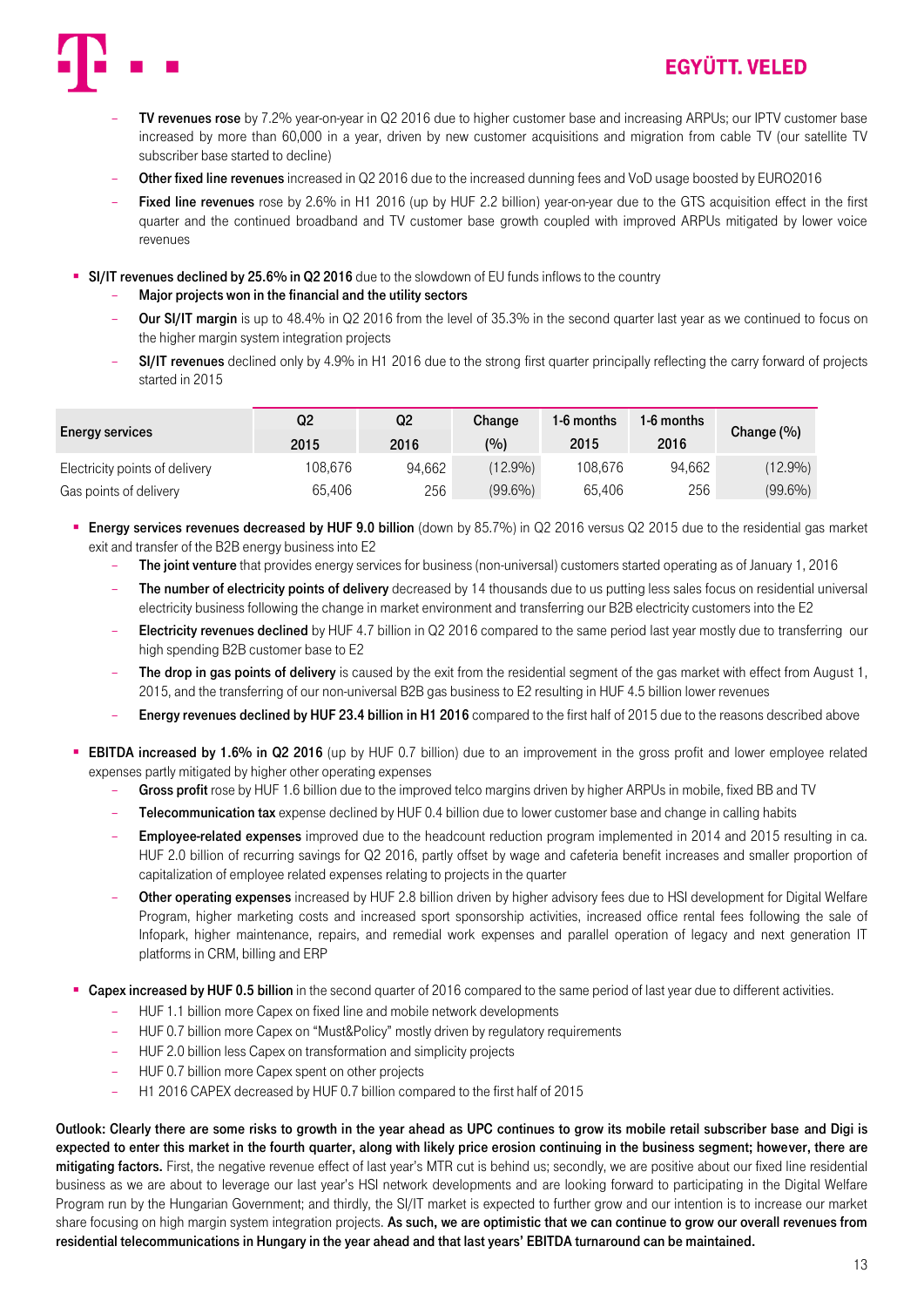

- TV revenues rose by 7.2% year-on-year in Q2 2016 due to higher customer base and increasing ARPUs; our IPTV customer base increased by more than 60,000 in a year, driven by new customer acquisitions and migration from cable TV (our satellite TV subscriber base started to decline)
- Other fixed line revenues increased in Q2 2016 due to the increased dunning fees and VoD usage boosted by EURO2016
- Fixed line revenues rose by 2.6% in H1 2016 (up by HUF 2.2 billion) year-on-year due to the GTS acquisition effect in the first quarter and the continued broadband and TV customer base growth coupled with improved ARPUs mitigated by lower voice revenues

**SI/IT revenues declined by 25.6% in Q2 2016** due to the slowdown of EU funds inflows to the country

- Major projects won in the financial and the utility sectors
- Our SI/IT margin is up to 48.4% in Q2 2016 from the level of 35.3% in the second quarter last year as we continued to focus on the higher margin system integration projects
- SI/IT revenues declined only by 4.9% in H1 2016 due to the strong first quarter principally reflecting the carry forward of projects started in 2015

| <b>Energy services</b>         | Q2<br>2015 | Q2<br>2016 | Change<br>(0) | 1-6 months<br>2015 | 1-6 months<br>2016 | Change $(\%)$ |
|--------------------------------|------------|------------|---------------|--------------------|--------------------|---------------|
| Electricity points of delivery | 108.676    | 94.662     | $(12.9\%)$    | 108.676            | 94.662             | $(12.9\%)$    |
| Gas points of delivery         | 65.406     | 256        | $(99.6\%)$    | 65.406             | 256                | $(99.6\%)$    |

- Energy services revenues decreased by HUF 9.0 billion (down by 85.7%) in Q2 2016 versus Q2 2015 due to the residential gas market exit and transfer of the B2B energy business into E2
	- The joint venture that provides energy services for business (non-universal) customers started operating as of January 1, 2016
	- The number of electricity points of delivery decreased by 14 thousands due to us putting less sales focus on residential universal electricity business following the change in market environment and transferring our B2B electricity customers into the E2
	- Electricity revenues declined by HUF 4.7 billion in Q2 2016 compared to the same period last year mostly due to transferring our high spending B2B customer base to E2
	- The drop in gas points of delivery is caused by the exit from the residential segment of the gas market with effect from August 1. 2015, and the transferring of our non-universal B2B gas business to E2 resulting in HUF 4.5 billion lower revenues
	- Energy revenues declined by HUF 23.4 billion in H1 2016 compared to the first half of 2015 due to the reasons described above
- **EBITDA increased by 1.6% in Q2 2016** (up by HUF 0.7 billion) due to an improvement in the gross profit and lower employee related expenses partly mitigated by higher other operating expenses
	- Gross profit rose by HUF 1.6 billion due to the improved telco margins driven by higher ARPUs in mobile, fixed BB and TV
	- Telecommunication tax expense declined by HUF 0.4 billion due to lower customer base and change in calling habits
	- Employee-related expenses improved due to the headcount reduction program implemented in 2014 and 2015 resulting in ca. HUF 2.0 billion of recurring savings for Q2 2016, partly offset by wage and cafeteria benefit increases and smaller proportion of capitalization of employee related expenses relating to projects in the quarter
	- Other operating expenses increased by HUF 2.8 billion driven by higher advisory fees due to HSI development for Digital Welfare Program, higher marketing costs and increased sport sponsorship activities, increased office rental fees following the sale of Infopark, higher maintenance, repairs, and remedial work expenses and parallel operation of legacy and next generation IT platforms in CRM, billing and ERP
- Capex increased by HUF 0.5 billion in the second quarter of 2016 compared to the same period of last year due to different activities.
	- HUF 1.1 billion more Capex on fixed line and mobile network developments
	- HUF 0.7 billion more Capex on "Must&Policy" mostly driven by regulatory requirements
	- HUF 2.0 billion less Capex on transformation and simplicity projects
	- HUF 0.7 billion more Capex spent on other projects
	- H1 2016 CAPEX decreased by HUF 0.7 billion compared to the first half of 2015

Outlook: Clearly there are some risks to growth in the year ahead as UPC continues to grow its mobile retail subscriber base and Digi is expected to enter this market in the fourth quarter, along with likely price erosion continuing in the business segment; however, there are mitigating factors. First, the negative revenue effect of last year's MTR cut is behind us; secondly, we are positive about our fixed line residential business as we are about to leverage our last year's HSI network developments and are looking forward to participating in the Digital Welfare Program run by the Hungarian Government; and thirdly, the SI/IT market is expected to further grow and our intention is to increase our market share focusing on high margin system integration projects. As such, we are optimistic that we can continue to grow our overall revenues from residential telecommunications in Hungary in the year ahead and that last years' EBITDA turnaround can be maintained.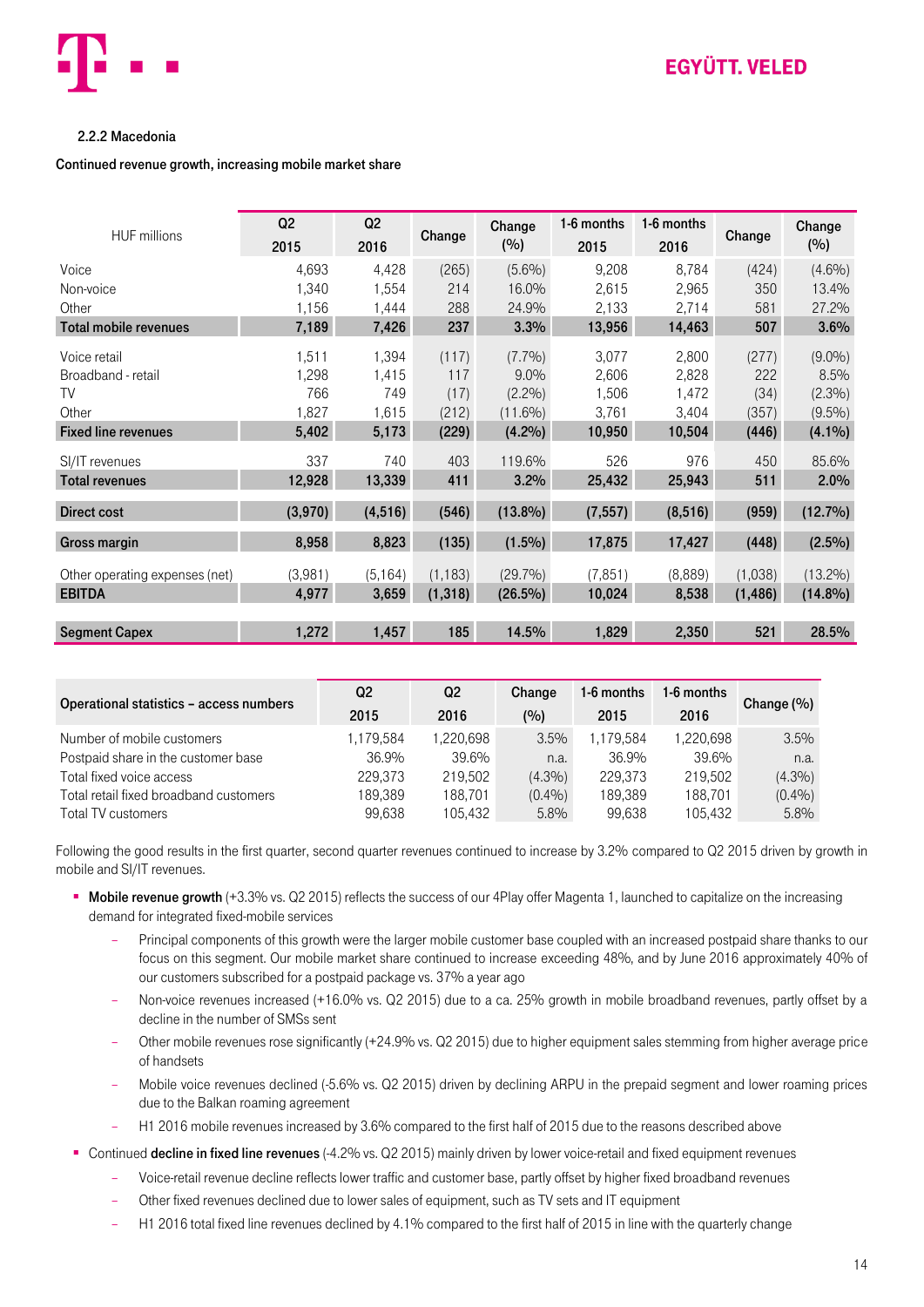

#### <span id="page-13-0"></span>2.2.2 Macedonia

#### Continued revenue growth, increasing mobile market share

| <b>HUF millions</b>            | Q2<br>2015 | Q2<br>2016 | Change   | Change<br>(%) | 1-6 months<br>2015 | 1-6 months<br>2016 | Change   | Change<br>(%) |
|--------------------------------|------------|------------|----------|---------------|--------------------|--------------------|----------|---------------|
| Voice                          | 4,693      | 4,428      | (265)    | $(5.6\%)$     | 9,208              | 8,784              | (424)    | $(4.6\%)$     |
| Non-voice                      | 1,340      | 1,554      | 214      | 16.0%         | 2,615              | 2,965              | 350      | 13.4%         |
| Other                          | 1,156      | 1,444      | 288      | 24.9%         | 2,133              | 2,714              | 581      | 27.2%         |
| <b>Total mobile revenues</b>   | 7,189      | 7,426      | 237      | 3.3%          | 13,956             | 14,463             | 507      | 3.6%          |
| Voice retail                   | 1,511      | 1,394      | (117)    | (7.7%)        | 3,077              | 2,800              | (277)    | $(9.0\%)$     |
| Broadband - retail             | 1,298      | 1,415      | 117      | $9.0\%$       | 2,606              | 2,828              | 222      | 8.5%          |
| TV                             | 766        | 749        | (17)     | (2.2%)        | 1,506              | 1,472              | (34)     | (2.3%)        |
| Other                          | 1,827      | 1,615      | (212)    | $(11.6\%)$    | 3,761              | 3,404              | (357)    | $(9.5\%)$     |
| <b>Fixed line revenues</b>     | 5,402      | 5,173      | (229)    | $(4.2\%)$     | 10,950             | 10,504             | (446)    | $(4.1\%)$     |
| SI/IT revenues                 | 337        | 740        | 403      | 119.6%        | 526                | 976                | 450      | 85.6%         |
| <b>Total revenues</b>          | 12,928     | 13,339     | 411      | 3.2%          | 25,432             | 25,943             | 511      | 2.0%          |
| Direct cost                    | (3,970)    | (4, 516)   | (546)    | $(13.8\%)$    | (7, 557)           | (8, 516)           | (959)    | $(12.7\%)$    |
| Gross margin                   | 8,958      | 8,823      | (135)    | $(1.5\%)$     | 17,875             | 17,427             | (448)    | $(2.5\%)$     |
| Other operating expenses (net) | (3,981)    | (5, 164)   | (1, 183) | (29.7%)       | (7, 851)           | (8,889)            | (1,038)  | $(13.2\%)$    |
| <b>EBITDA</b>                  | 4,977      | 3,659      | (1, 318) | $(26.5\%)$    | 10,024             | 8,538              | (1, 486) | $(14.8\%)$    |
|                                |            |            |          |               |                    |                    |          |               |
| <b>Segment Capex</b>           | 1,272      | 1,457      | 185      | 14.5%         | 1,829              | 2,350              | 521      | 28.5%         |

| Operational statistics - access numbers | Q2<br>2015 | Q2<br>2016 | Change<br>(%) | 1-6 months<br>2015 | 1-6 months<br>2016 | Change $(\% )$ |
|-----------------------------------------|------------|------------|---------------|--------------------|--------------------|----------------|
| Number of mobile customers              | 1.179.584  | 1.220.698  | 3.5%          | 1,179,584          | 1.220.698          | 3.5%           |
| Postpaid share in the customer base     | 36.9%      | 39.6%      | n.a.          | 36.9%              | 39.6%              | n.a.           |
| Total fixed voice access                | 229.373    | 219.502    | $(4.3\%)$     | 229.373            | 219.502            | (4.3%)         |
| Total retail fixed broadband customers  | 189,389    | 188.701    | (0.4%         | 189,389            | 188.701            | (0.4%)         |
| Total TV customers                      | 99.638     | 105.432    | 5.8%          | 99.638             | 105.432            | 5.8%           |

Following the good results in the first quarter, second quarter revenues continued to increase by 3.2% compared to Q2 2015 driven by growth in mobile and SI/IT revenues.

- **Mobile revenue growth** (+3.3% vs. Q2 2015) reflects the success of our 4Play offer Magenta 1, launched to capitalize on the increasing demand for integrated fixed-mobile services
	- Principal components of this growth were the larger mobile customer base coupled with an increased postpaid share thanks to our focus on this segment. Our mobile market share continued to increase exceeding 48%, and by June 2016 approximately 40% of our customers subscribed for a postpaid package vs. 37% a year ago
	- Non-voice revenues increased (+16.0% vs. Q2 2015) due to a ca. 25% growth in mobile broadband revenues, partly offset by a decline in the number of SMSs sent
	- Other mobile revenues rose significantly (+24.9% vs. Q2 2015) due to higher equipment sales stemming from higher average price of handsets
	- Mobile voice revenues declined (-5.6% vs. Q2 2015) driven by declining ARPU in the prepaid segment and lower roaming prices due to the Balkan roaming agreement
	- H1 2016 mobile revenues increased by 3.6% compared to the first half of 2015 due to the reasons described above
- Continued decline in fixed line revenues (-4.2% vs. Q2 2015) mainly driven by lower voice-retail and fixed equipment revenues
	- Voice-retail revenue decline reflects lower traffic and customer base, partly offset by higher fixed broadband revenues
	- Other fixed revenues declined due to lower sales of equipment, such as TV sets and IT equipment
	- H1 2016 total fixed line revenues declined by 4.1% compared to the first half of 2015 in line with the quarterly change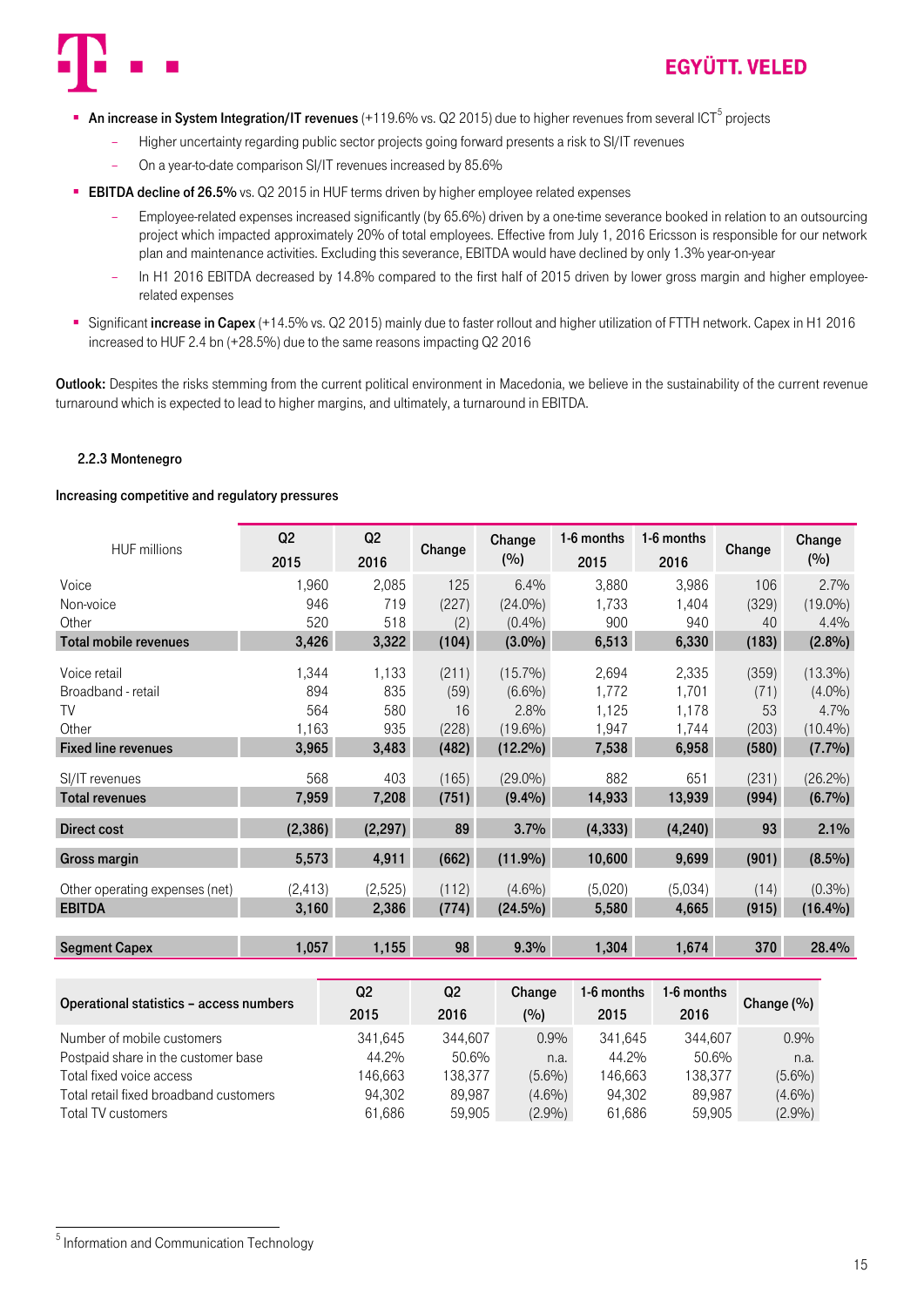

- An increase in System Integration/IT revenues (+119.6% vs. Q2 2015) due to higher revenues from several ICT<sup>5</sup> projects
	- Higher uncertainty regarding public sector projects going forward presents a risk to SI/IT revenues
	- On a year-to-date comparison SI/IT revenues increased by 85.6%
- **EBITDA decline of 26.5%** vs. Q2 2015 in HUF terms driven by higher employee related expenses
	- Employee-related expenses increased significantly (by 65.6%) driven by a one-time severance booked in relation to an outsourcing project which impacted approximately 20% of total employees. Effective from July 1, 2016 Ericsson is responsible for our network plan and maintenance activities. Excluding this severance, EBITDA would have declined by only 1.3% year-on-year
	- In H1 2016 EBITDA decreased by 14.8% compared to the first half of 2015 driven by lower gross margin and higher employeerelated expenses
- Significant increase in Capex (+14.5% vs. Q2 2015) mainly due to faster rollout and higher utilization of FTTH network. Capex in H1 2016 increased to HUF 2.4 bn (+28.5%) due to the same reasons impacting Q2 2016

Outlook: Despites the risks stemming from the current political environment in Macedonia, we believe in the sustainability of the current revenue turnaround which is expected to lead to higher margins, and ultimately, a turnaround in EBITDA.

#### <span id="page-14-0"></span>2.2.3 Montenegro

#### Increasing competitive and regulatory pressures

| <b>HUF millions</b>                | Q2           | Q2           | Change     | Change                  | 1-6 months     | 1-6 months     | Change     | Change            |
|------------------------------------|--------------|--------------|------------|-------------------------|----------------|----------------|------------|-------------------|
|                                    | 2015         | 2016         |            | (%)                     | 2015           | 2016           |            | (%)               |
| Voice                              | 1,960        | 2,085        | 125        | 6.4%                    | 3,880          | 3,986          | 106        | 2.7%              |
| Non-voice                          | 946          | 719          | (227)      | $(24.0\%)$              | 1,733          | 1,404          | (329)      | $(19.0\%)$        |
| Other                              | 520          | 518          | (2)        | (0.4%)                  | 900            | 940            | 40         | 4.4%              |
| <b>Total mobile revenues</b>       | 3,426        | 3,322        | (104)      | $(3.0\%)$               | 6,513          | 6,330          | (183)      | $(2.8\%)$         |
| Voice retail<br>Broadband - retail | 1,344<br>894 | 1,133<br>835 | (211)      | $(15.7\%)$<br>$(6.6\%)$ | 2,694<br>1,772 | 2,335<br>1,701 | (359)      | $(13.3\%)$        |
| TV                                 | 564          | 580          | (59)<br>16 | 2.8%                    | 1,125          | 1,178          | (71)<br>53 | $(4.0\%)$<br>4.7% |
| Other                              | 1,163        | 935          | (228)      | $(19.6\%)$              | 1,947          | 1,744          | (203)      | $(10.4\%)$        |
| <b>Fixed line revenues</b>         | 3,965        | 3,483        | (482)      | $(12.2\%)$              | 7,538          | 6,958          | (580)      | (7.7%)            |
| SI/IT revenues                     | 568          | 403          | (165)      | $(29.0\%)$              | 882            | 651            | (231)      | $(26.2\%)$        |
| <b>Total revenues</b>              | 7,959        | 7,208        | (751)      | (9.4%)                  | 14,933         | 13,939         | (994)      | $(6.7\%)$         |
| Direct cost                        | (2, 386)     | (2, 297)     | 89         | 3.7%                    | (4, 333)       | (4,240)        | 93         | 2.1%              |
| Gross margin                       | 5,573        | 4,911        | (662)      | $(11.9\%)$              | 10,600         | 9,699          | (901)      | $(8.5\%)$         |
| Other operating expenses (net)     | (2, 413)     | (2,525)      | (112)      | $(4.6\%)$               | (5,020)        | (5,034)        | (14)       | (0.3%)            |
| <b>EBITDA</b>                      | 3,160        | 2,386        | (774)      | $(24.5\%)$              | 5,580          | 4,665          | (915)      | $(16.4\%)$        |
|                                    |              |              |            |                         |                |                |            |                   |
| <b>Segment Capex</b>               | 1,057        | 1,155        | 98         | 9.3%                    | 1,304          | 1,674          | 370        | 28.4%             |

| Operational statistics - access numbers | Q <sub>2</sub><br>2015 | Q <sub>2</sub><br>2016 | Change<br>(%) | 1-6 months<br>2015 | 1-6 months<br>2016 | Change $(\%)$ |
|-----------------------------------------|------------------------|------------------------|---------------|--------------------|--------------------|---------------|
| Number of mobile customers              | 341,645                | 344.607                | 0.9%          | 341.645            | 344.607            | 0.9%          |
| Postpaid share in the customer base     | 44.2%                  | 50.6%                  | n.a.          | 44.2%              | 50.6%              | n.a.          |
| Total fixed voice access                | 146,663                | 138.377                | $(5.6\%)$     | 146,663            | 138.377            | (5.6%)        |
| Total retail fixed broadband customers  | 94.302                 | 89.987                 | $(4.6\%)$     | 94.302             | 89.987             | $(4.6\%)$     |
| Total TV customers                      | 61,686                 | 59.905                 | (2.9%)        | 61,686             | 59.905             | (2.9%)        |

.

<sup>&</sup>lt;sup>5</sup> Information and Communication Technology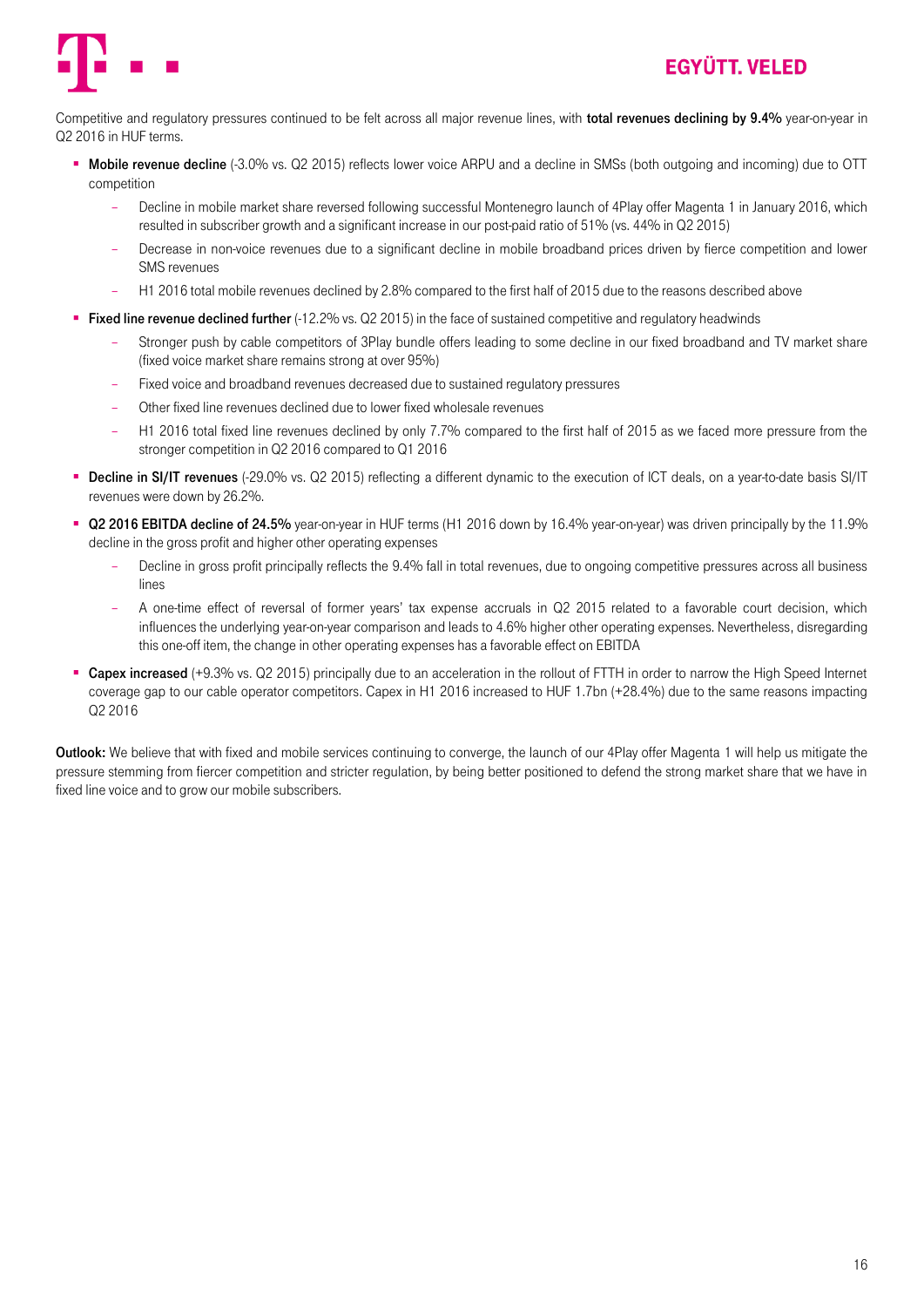



Competitive and regulatory pressures continued to be felt across all major revenue lines, with **total revenues declining by 9.4%** year-on-year in Q2 2016 in HUF terms.

- **Mobile revenue decline** (-3.0% vs. Q2 2015) reflects lower voice ARPU and a decline in SMSs (both outgoing and incoming) due to OTT competition
	- Decline in mobile market share reversed following successful Montenegro launch of 4Play offer Magenta 1 in January 2016, which resulted in subscriber growth and a significant increase in our post-paid ratio of 51% (vs. 44% in Q2 2015)
	- Decrease in non-voice revenues due to a significant decline in mobile broadband prices driven by fierce competition and lower SMS revenues
	- H1 2016 total mobile revenues declined by 2.8% compared to the first half of 2015 due to the reasons described above
- Fixed line revenue declined further (-12.2% vs. Q2 2015) in the face of sustained competitive and regulatory headwinds
	- Stronger push by cable competitors of 3Play bundle offers leading to some decline in our fixed broadband and TV market share (fixed voice market share remains strong at over 95%)
	- Fixed voice and broadband revenues decreased due to sustained regulatory pressures
	- Other fixed line revenues declined due to lower fixed wholesale revenues
	- H1 2016 total fixed line revenues declined by only 7.7% compared to the first half of 2015 as we faced more pressure from the stronger competition in Q2 2016 compared to Q1 2016
- **Decline in SI/IT revenues** (-29.0% vs. Q2 2015) reflecting a different dynamic to the execution of ICT deals, on a year-to-date basis SI/IT revenues were down by 26.2%.
- Q2 2016 EBITDA decline of 24.5% year-on-year in HUF terms (H1 2016 down by 16.4% year-on-year) was driven principally by the 11.9% decline in the gross profit and higher other operating expenses
	- Decline in gross profit principally reflects the 9.4% fall in total revenues, due to ongoing competitive pressures across all business lines
	- A one-time effect of reversal of former years' tax expense accruals in Q2 2015 related to a favorable court decision, which influences the underlying year-on-year comparison and leads to 4.6% higher other operating expenses. Nevertheless, disregarding this one-off item, the change in other operating expenses has a favorable effect on EBITDA
- Capex increased (+9.3% vs. Q2 2015) principally due to an acceleration in the rollout of FTTH in order to narrow the High Speed Internet coverage gap to our cable operator competitors. Capex in H1 2016 increased to HUF 1.7bn (+28.4%) due to the same reasons impacting Q2 2016

Outlook: We believe that with fixed and mobile services continuing to converge, the launch of our 4Play offer Magenta 1 will help us mitigate the pressure stemming from fiercer competition and stricter regulation, by being better positioned to defend the strong market share that we have in fixed line voice and to grow our mobile subscribers.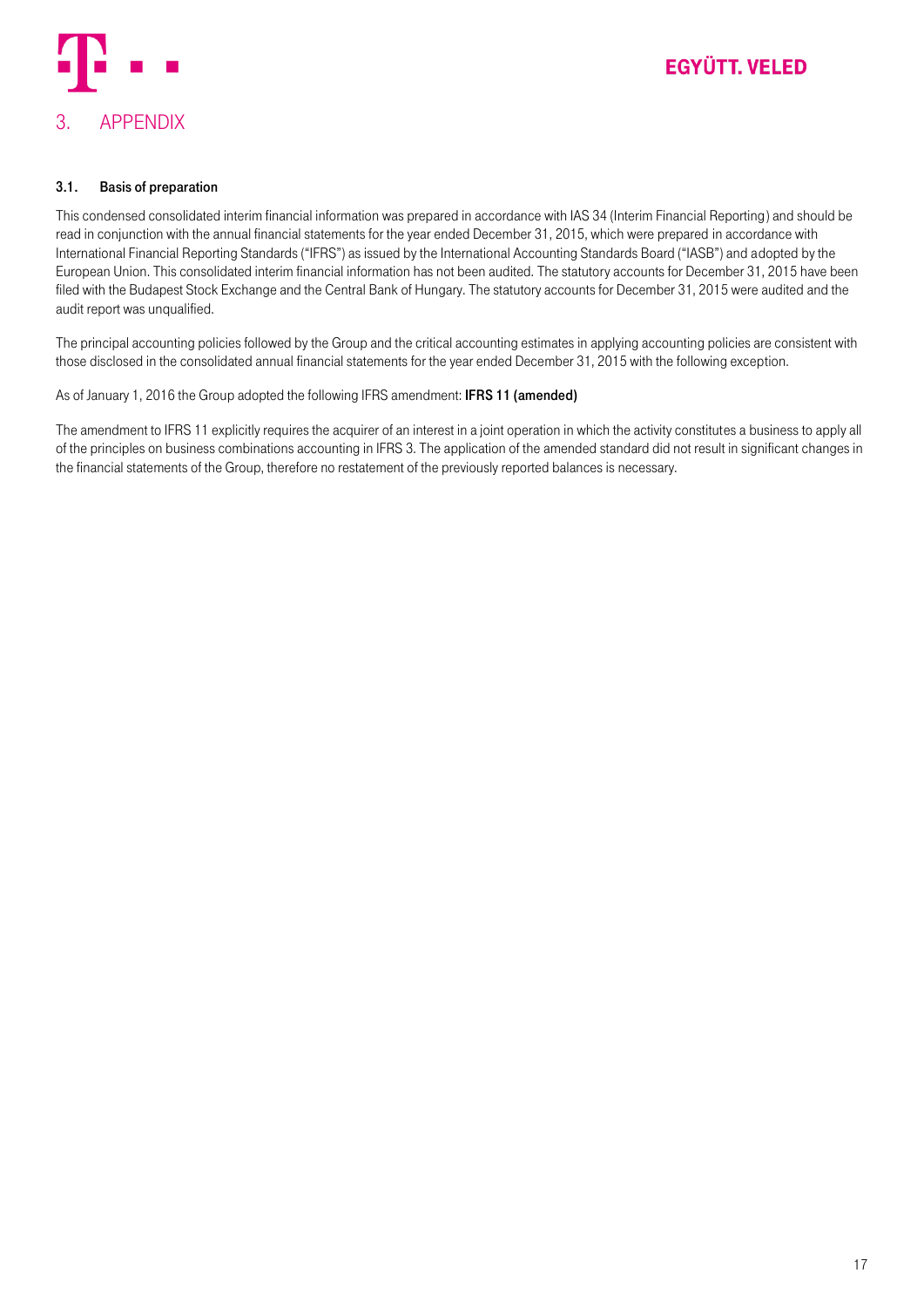

#### <span id="page-16-1"></span><span id="page-16-0"></span>3.1. Basis of preparation

This condensed consolidated interim financial information was prepared in accordance with IAS 34 (Interim Financial Reporting) and should be read in conjunction with the annual financial statements for the year ended December 31, 2015, which were prepared in accordance with International Financial Reporting Standards ("IFRS") as issued by the International Accounting Standards Board ("IASB") and adopted by the European Union. This consolidated interim financial information has not been audited. The statutory accounts for December 31, 2015 have been filed with the Budapest Stock Exchange and the Central Bank of Hungary. The statutory accounts for December 31, 2015 were audited and the audit report was unqualified.

The principal accounting policies followed by the Group and the critical accounting estimates in applying accounting policies are consistent with those disclosed in the consolidated annual financial statements for the year ended December 31, 2015 with the following exception.

#### As of January 1, 2016 the Group adopted the following IFRS amendment: IFRS 11 (amended)

The amendment to IFRS 11 explicitly requires the acquirer of an interest in a joint operation in which the activity constitutes a business to apply all of the principles on business combinations accounting in IFRS 3. The application of the amended standard did not result in significant changes in the financial statements of the Group, therefore no restatement of the previously reported balances is necessary.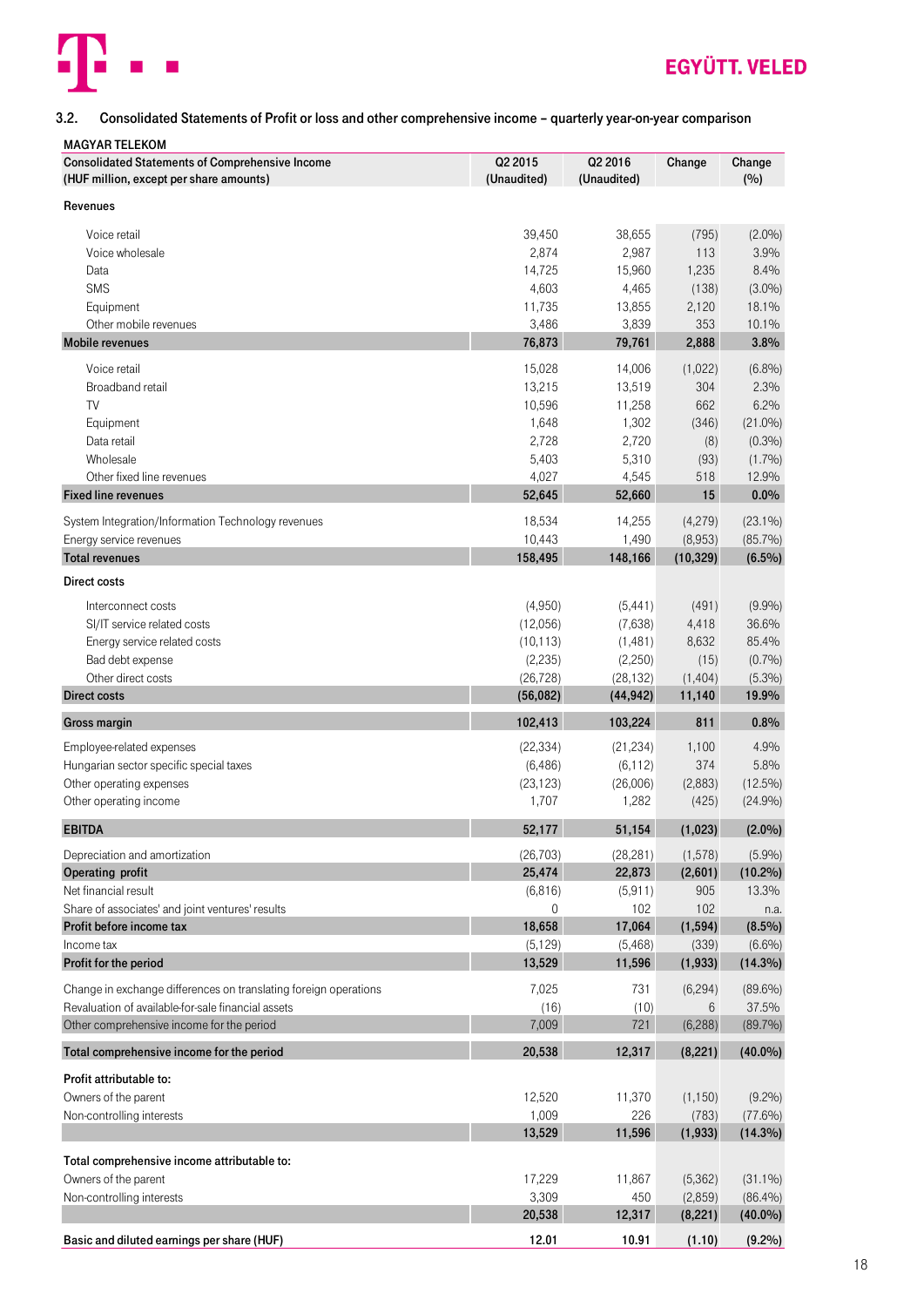

### <span id="page-17-0"></span>3.2. Consolidated Statements of Profit or loss and other comprehensive income – quarterly year-on-year comparison

| <b>MAGYAR TELEKOM</b>                                            |                     |                     |                     |                     |
|------------------------------------------------------------------|---------------------|---------------------|---------------------|---------------------|
| <b>Consolidated Statements of Comprehensive Income</b>           | Q2 2015             | Q2 2016             | Change              | Change              |
| (HUF million, except per share amounts)                          | (Unaudited)         | (Unaudited)         |                     | (%)                 |
| Revenues                                                         |                     |                     |                     |                     |
|                                                                  |                     |                     |                     |                     |
| Voice retail                                                     | 39,450              | 38,655              | (795)               | $(2.0\%)$           |
| Voice wholesale                                                  | 2,874               | 2,987               | 113                 | 3.9%                |
| Data                                                             | 14,725              | 15,960              | 1,235               | 8.4%                |
| <b>SMS</b>                                                       | 4,603               | 4,465               | (138)               | $(3.0\%)$           |
| Equipment                                                        | 11,735              | 13,855              | 2,120               | 18.1%               |
| Other mobile revenues                                            | 3,486               | 3,839               | 353                 | 10.1%               |
| <b>Mobile revenues</b>                                           | 76,873              | 79,761              | 2,888               | 3.8%                |
| Voice retail                                                     | 15,028              | 14,006              | (1,022)             | (6.8%)              |
| Broadband retail                                                 | 13,215              | 13,519              | 304                 | 2.3%                |
| TV                                                               | 10,596              | 11,258              | 662                 | 6.2%                |
| Equipment                                                        | 1,648               | 1,302               | (346)               | $(21.0\%)$          |
| Data retail                                                      | 2,728               | 2,720               | (8)                 | (0.3%)              |
| Wholesale                                                        | 5,403               | 5,310               | (93)                | (1.7%)              |
| Other fixed line revenues                                        | 4,027               | 4,545               | 518                 | 12.9%               |
| <b>Fixed line revenues</b>                                       | 52,645              | 52,660              | 15                  | $0.0\%$             |
| System Integration/Information Technology revenues               | 18,534              | 14,255              | (4,279)             | $(23.1\%)$          |
| Energy service revenues                                          | 10,443              | 1,490               | (8,953)             | $(85.7\%)$          |
| <b>Total revenues</b>                                            | 158,495             | 148,166             | (10, 329)           | $(6.5\%)$           |
| Direct costs                                                     |                     |                     |                     |                     |
|                                                                  |                     |                     |                     |                     |
| Interconnect costs                                               | (4,950)             | (5, 441)            | (491)               | (9.9%)              |
| SI/IT service related costs                                      | (12,056)            | (7,638)             | 4,418               | 36.6%               |
| Energy service related costs                                     | (10, 113)           | (1,481)             | 8,632               | 85.4%               |
| Bad debt expense                                                 | (2, 235)            | (2,250)             | (15)                | (0.7%)              |
| Other direct costs                                               | (26, 728)           | (28, 132)           | (1, 404)            | $(5.3\%)$           |
| <b>Direct costs</b>                                              | (56,082)            | (44, 942)           | 11,140              | 19.9%               |
| Gross margin                                                     | 102,413             | 103,224             | 811                 | 0.8%                |
| Employee-related expenses                                        | (22, 334)           | (21, 234)           | 1,100               | 4.9%                |
| Hungarian sector specific special taxes                          | (6, 486)            | (6, 112)            | 374                 | 5.8%                |
| Other operating expenses                                         | (23, 123)           | (26,006)            | (2,883)             | $(12.5\%)$          |
| Other operating income                                           | 1,707               | 1,282               | (425)               | (24.9%)             |
| <b>EBITDA</b>                                                    | 52,177              | 51,154              | (1,023)             | $(2.0\%)$           |
|                                                                  |                     |                     |                     |                     |
| Depreciation and amortization<br>Operating profit                | (26, 703)<br>25,474 | (28, 281)<br>22,873 | (1, 578)<br>(2,601) | (5.9%)              |
| Net financial result                                             | (6, 816)            | (5,911)             | 905                 | $(10.2\%)$<br>13.3% |
| Share of associates' and joint ventures' results                 | 0                   | 102                 | 102                 | n.a.                |
| Profit before income tax                                         | 18,658              | 17,064              | (1, 594)            | $(8.5\%)$           |
| Income tax                                                       | (5, 129)            | (5,468)             | (339)               | (6.6%)              |
| Profit for the period                                            | 13,529              | 11,596              | (1, 933)            | $(14.3\%)$          |
|                                                                  |                     |                     |                     |                     |
| Change in exchange differences on translating foreign operations | 7,025               | 731                 | (6, 294)            | $(89.6\%)$          |
| Revaluation of available-for-sale financial assets               | (16)                | (10)                | 6                   | 37.5%               |
| Other comprehensive income for the period                        | 7,009               | 721                 | (6, 288)            | (89.7%)             |
| Total comprehensive income for the period                        | 20,538              | 12,317              | (8, 221)            | $(40.0\%)$          |
| Profit attributable to:                                          |                     |                     |                     |                     |
| Owners of the parent                                             | 12,520              | 11,370              | (1, 150)            | (9.2%)              |
| Non-controlling interests                                        | 1,009               | 226                 | (783)               | $(77.6\%)$          |
|                                                                  | 13,529              | 11,596              | (1, 933)            | $(14.3\%)$          |
| Total comprehensive income attributable to:                      |                     |                     |                     |                     |
| Owners of the parent                                             | 17,229              | 11,867              | (5,362)             | $(31.1\%)$          |
| Non-controlling interests                                        | 3,309               | 450                 | (2,859)             | (86.4%)             |
|                                                                  | 20,538              | 12,317              | (8, 221)            | $(40.0\%)$          |
| Basic and diluted earnings per share (HUF)                       | 12.01               | 10.91               | (1.10)              | (9.2%)              |
|                                                                  |                     |                     |                     |                     |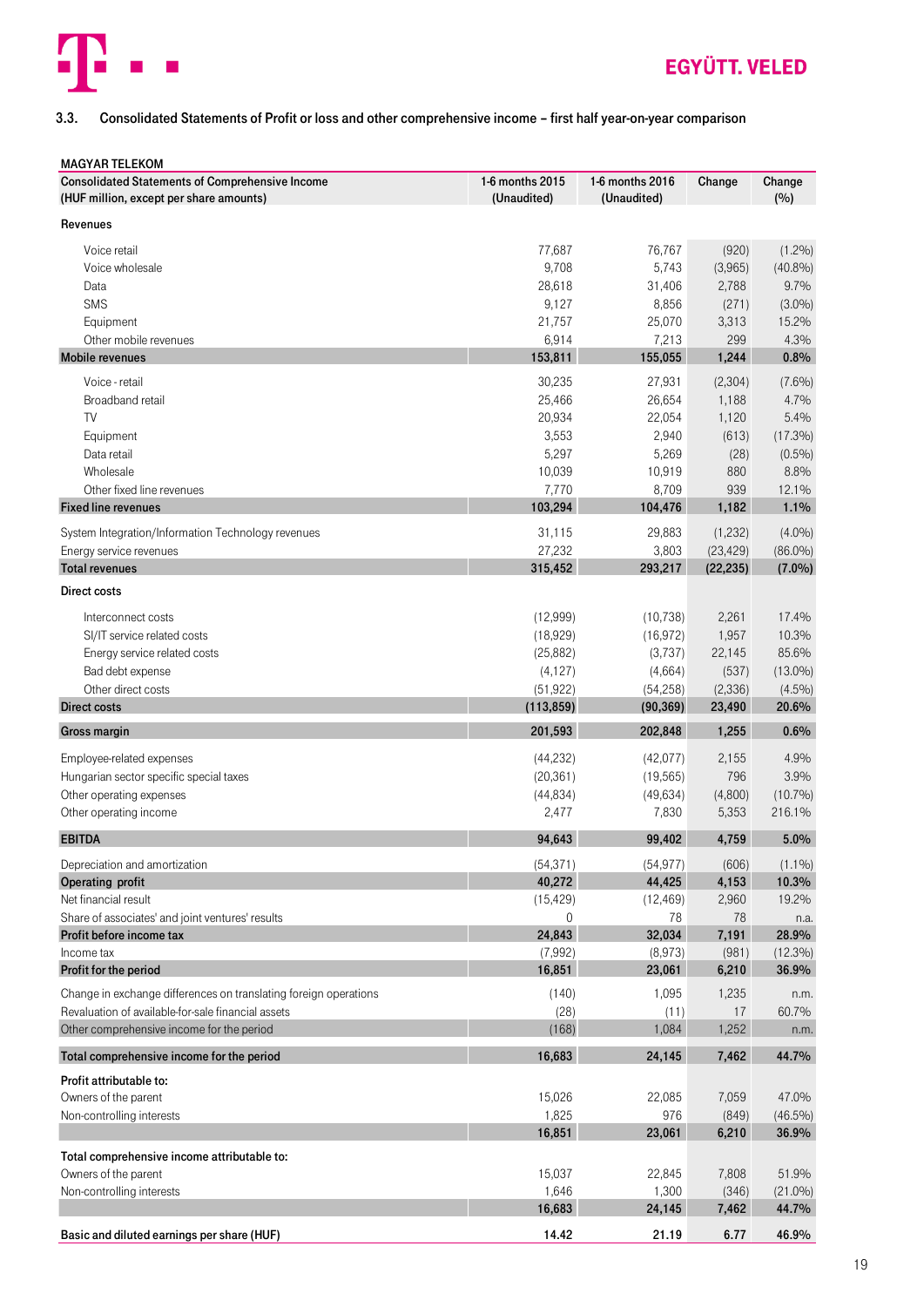

### <span id="page-18-0"></span>3.3. Consolidated Statements of Profit or loss and other comprehensive income – first half year-on-year comparison

| <b>MAGYAR TELEKOM</b>                                            |                 |                 |           |            |
|------------------------------------------------------------------|-----------------|-----------------|-----------|------------|
| <b>Consolidated Statements of Comprehensive Income</b>           | 1-6 months 2015 | 1-6 months 2016 | Change    | Change     |
| (HUF million, except per share amounts)                          | (Unaudited)     | (Unaudited)     |           | (%)        |
| Revenues                                                         |                 |                 |           |            |
|                                                                  |                 |                 |           |            |
| Voice retail                                                     | 77,687          | 76,767          | (920)     | $(1.2\%)$  |
| Voice wholesale                                                  | 9,708           | 5,743           | (3,965)   | $(40.8\%)$ |
| Data                                                             | 28,618          | 31,406          | 2,788     | 9.7%       |
| SMS                                                              | 9,127           | 8,856           | (271)     | $(3.0\%)$  |
| Equipment                                                        | 21,757          | 25,070          | 3,313     | 15.2%      |
| Other mobile revenues                                            | 6,914           | 7,213           | 299       | 4.3%       |
| <b>Mobile revenues</b>                                           | 153,811         | 155,055         | 1,244     | 0.8%       |
|                                                                  |                 |                 |           |            |
| Voice - retail                                                   | 30,235          | 27,931          | (2,304)   | $(7.6\%)$  |
| Broadband retail                                                 | 25,466          | 26,654          | 1,188     | 4.7%       |
| TV                                                               | 20,934          | 22,054          | 1,120     | 5.4%       |
| Equipment                                                        | 3,553           | 2,940           | (613)     | $(17.3\%)$ |
| Data retail                                                      | 5,297           | 5,269           | (28)      | $(0.5\%)$  |
| Wholesale                                                        | 10,039          | 10,919          | 880       | 8.8%       |
| Other fixed line revenues                                        | 7,770           | 8,709           | 939       | 12.1%      |
| <b>Fixed line revenues</b>                                       | 103,294         | 104,476         | 1,182     | 1.1%       |
|                                                                  |                 |                 |           |            |
| System Integration/Information Technology revenues               | 31,115          | 29,883          | (1,232)   | $(4.0\%)$  |
| Energy service revenues                                          | 27,232          | 3,803           | (23, 429) | $(86.0\%)$ |
| <b>Total revenues</b>                                            | 315,452         | 293,217         | (22, 235) | $(7.0\%)$  |
| <b>Direct costs</b>                                              |                 |                 |           |            |
| Interconnect costs                                               | (12,999)        | (10, 738)       | 2,261     | 17.4%      |
|                                                                  |                 |                 |           | 10.3%      |
| SI/IT service related costs                                      | (18,929)        | (16, 972)       | 1,957     |            |
| Energy service related costs                                     | (25, 882)       | (3,737)         | 22,145    | 85.6%      |
| Bad debt expense                                                 | (4, 127)        | (4,664)         | (537)     | $(13.0\%)$ |
| Other direct costs                                               | (51, 922)       | (54, 258)       | (2, 336)  | $(4.5\%)$  |
| <b>Direct costs</b>                                              | (113, 859)      | (90, 369)       | 23,490    | 20.6%      |
| Gross margin                                                     | 201,593         | 202,848         | 1,255     | 0.6%       |
| Employee-related expenses                                        | (44, 232)       | (42,077)        | 2,155     | 4.9%       |
| Hungarian sector specific special taxes                          | (20, 361)       |                 | 796       | 3.9%       |
|                                                                  |                 | (19, 565)       |           |            |
| Other operating expenses                                         | (44, 834)       | (49, 634)       | (4,800)   | $(10.7\%)$ |
| Other operating income                                           | 2,477           | 7,830           | 5,353     | 216.1%     |
| <b>EBITDA</b>                                                    | 94,643          | 99,402          | 4,759     | 5.0%       |
| Depreciation and amortization                                    | (54, 371)       | (54, 977)       | (606)     | $(1.1\%)$  |
| Operating profit                                                 | 40,272          | 44,425          | 4,153     | 10.3%      |
| Net financial result                                             | (15, 429)       | (12, 469)       | 2,960     | 19.2%      |
| Share of associates' and joint ventures' results                 | $\mathbf 0$     | 78              | 78        | n.a.       |
| Profit before income tax                                         | 24,843          | 32,034          | 7,191     | 28.9%      |
| Income tax                                                       | (7,992)         | (8,973)         | (981)     | $(12.3\%)$ |
| Profit for the period                                            | 16,851          | 23,061          | 6,210     | 36.9%      |
|                                                                  |                 |                 |           |            |
| Change in exchange differences on translating foreign operations | (140)           | 1,095           | 1,235     | n.m.       |
| Revaluation of available-for-sale financial assets               | (28)            | (11)            | 17        | 60.7%      |
| Other comprehensive income for the period                        | (168)           | 1,084           | 1,252     | n.m.       |
| Total comprehensive income for the period                        | 16,683          | 24,145          | 7,462     | 44.7%      |
|                                                                  |                 |                 |           |            |
| Profit attributable to:                                          |                 |                 |           |            |
| Owners of the parent                                             | 15,026          | 22,085          | 7,059     | 47.0%      |
| Non-controlling interests                                        | 1,825           | 976             | (849)     | $(46.5\%)$ |
|                                                                  | 16,851          | 23,061          | 6,210     | 36.9%      |
| Total comprehensive income attributable to:                      |                 |                 |           |            |
| Owners of the parent                                             | 15,037          | 22,845          | 7,808     | 51.9%      |
| Non-controlling interests                                        | 1,646           | 1,300           | (346)     | $(21.0\%)$ |
|                                                                  | 16,683          | 24,145          | 7,462     | 44.7%      |
|                                                                  |                 |                 |           |            |
| Basic and diluted earnings per share (HUF)                       | 14.42           | 21.19           | 6.77      | 46.9%      |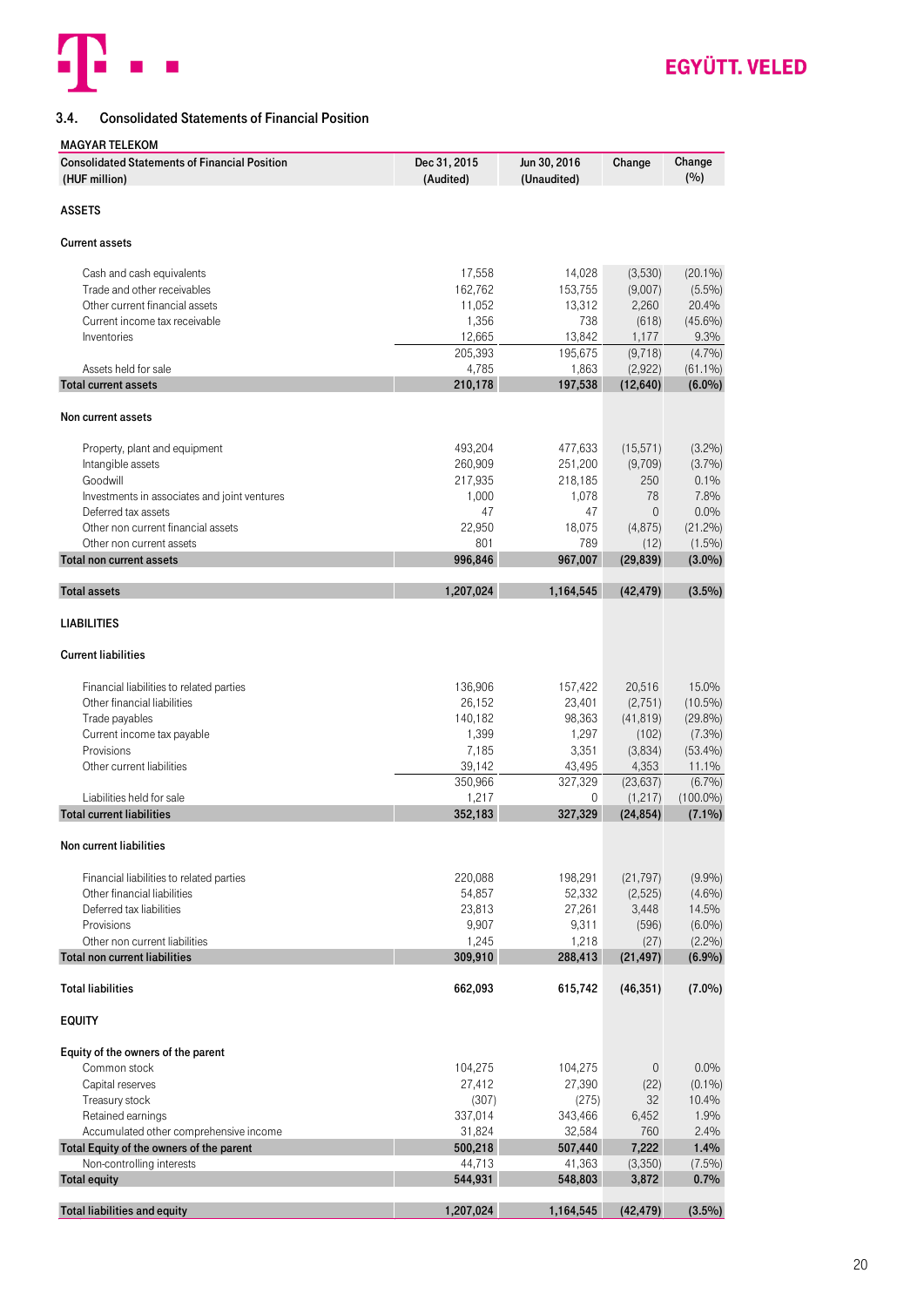

### <span id="page-19-0"></span>3.4. Consolidated Statements of Financial Position

#### MAGYAR TELEKOM

| <b>ASSETS</b><br><b>Current assets</b><br>17,558<br>14,028<br>$(20.1\%)$<br>(3,530)<br>Cash and cash equivalents<br>Trade and other receivables<br>162,762<br>153,755<br>(9,007)<br>$(5.5\%)$<br>2,260<br>20.4%<br>Other current financial assets<br>11,052<br>13,312<br>$(45.6\%)$<br>Current income tax receivable<br>1,356<br>738<br>(618)<br>12,665<br>Inventories<br>13,842<br>1,177<br>9.3%<br>$(4.7\%)$<br>205,393<br>195,675<br>(9, 718)<br>Assets held for sale<br>4,785<br>1,863<br>(2,922)<br>$(61.1\%)$<br>210,178<br>$(6.0\%)$<br>197,538<br>(12, 640)<br><b>Total current assets</b><br>Non current assets<br>493,204<br>(3.2%)<br>477,633<br>(15, 571)<br>Property, plant and equipment<br>260,909<br>(3.7%)<br>Intangible assets<br>251,200<br>(9,709)<br>Goodwill<br>250<br>0.1%<br>217,935<br>218,185<br>78<br>7.8%<br>Investments in associates and joint ventures<br>1,000<br>1,078<br>47<br>47<br>$\mathbf 0$<br>0.0%<br>Deferred tax assets<br>Other non current financial assets<br>22,950<br>(21.2%)<br>18,075<br>(4, 875)<br>801<br>789<br>Other non current assets<br>$(1.5\%)$<br>(12)<br>996,846<br>967,007<br>(29, 839)<br>$(3.0\%)$<br><b>Total non current assets</b><br>1,207,024<br>1,164,545<br>(42, 479)<br>$(3.5\%)$<br><b>Total assets</b><br><b>LIABILITIES</b><br><b>Current liabilities</b><br>15.0%<br>Financial liabilities to related parties<br>136,906<br>157,422<br>20,516<br>$(10.5\%)$<br>Other financial liabilities<br>26,152<br>23,401<br>(2,751)<br>140,182<br>98,363<br>$(29.8\%)$<br>Trade payables<br>(41, 819)<br>1,399<br>1,297<br>$(7.3\%)$<br>Current income tax payable<br>(102)<br>Provisions<br>3,351<br>7,185<br>(3,834)<br>$(53.4\%)$<br>Other current liabilities<br>39,142<br>43,495<br>4,353<br>11.1%<br>$(6.7\%)$<br>350,966<br>327,329<br>(23, 637)<br>1,217<br>$(100.0\%)$<br>Liabilities held for sale<br>(1, 217)<br>0<br>352,183<br><b>Total current liabilities</b><br>327,329<br>(24, 854)<br>$(7.1\%)$<br>Non current liabilities<br>(9.9%)<br>Financial liabilities to related parties<br>220,088<br>198,291<br>(21, 797)<br>54,857<br>52,332<br>(2,525)<br>$(4.6\%)$<br>Other financial liabilities<br>Deferred tax liabilities<br>23,813<br>27,261<br>3,448<br>14.5%<br>Provisions<br>9,907<br>9,311<br>$(6.0\%)$<br>(596)<br>1,245<br>Other non current liabilities<br>1,218<br>(2.2%)<br>(27)<br><b>Total non current liabilities</b><br>309,910<br>288,413<br>(21, 497)<br>(6.9%)<br>$(7.0\%)$<br><b>Total liabilities</b><br>662,093<br>615,742<br>(46, 351)<br><b>EQUITY</b><br>Equity of the owners of the parent<br>0.0%<br>Common stock<br>104,275<br>104,275<br>$\mathbf 0$<br>(22)<br>$(0.1\%)$<br>Capital reserves<br>27,412<br>27,390<br>32<br>Treasury stock<br>(307)<br>(275)<br>10.4%<br>1.9%<br>Retained earnings<br>337,014<br>343,466<br>6,452<br>Accumulated other comprehensive income<br>31,824<br>32,584<br>2.4%<br>760<br>500,218<br>7,222<br>Total Equity of the owners of the parent<br>507,440<br>1.4%<br>44,713<br>Non-controlling interests<br>(3,350)<br>$(7.5\%)$<br>41,363<br>544,931<br>548,803<br>3,872<br>0.7%<br><b>Total equity</b><br><b>Total liabilities and equity</b><br>1,207,024<br>(42, 479)<br>$(3.5\%)$<br>1,164,545 | <b>Consolidated Statements of Financial Position</b><br>(HUF million) | Dec 31, 2015<br>(Audited) | Jun 30, 2016<br>(Unaudited) | Change | Change<br>(%) |
|---------------------------------------------------------------------------------------------------------------------------------------------------------------------------------------------------------------------------------------------------------------------------------------------------------------------------------------------------------------------------------------------------------------------------------------------------------------------------------------------------------------------------------------------------------------------------------------------------------------------------------------------------------------------------------------------------------------------------------------------------------------------------------------------------------------------------------------------------------------------------------------------------------------------------------------------------------------------------------------------------------------------------------------------------------------------------------------------------------------------------------------------------------------------------------------------------------------------------------------------------------------------------------------------------------------------------------------------------------------------------------------------------------------------------------------------------------------------------------------------------------------------------------------------------------------------------------------------------------------------------------------------------------------------------------------------------------------------------------------------------------------------------------------------------------------------------------------------------------------------------------------------------------------------------------------------------------------------------------------------------------------------------------------------------------------------------------------------------------------------------------------------------------------------------------------------------------------------------------------------------------------------------------------------------------------------------------------------------------------------------------------------------------------------------------------------------------------------------------------------------------------------------------------------------------------------------------------------------------------------------------------------------------------------------------------------------------------------------------------------------------------------------------------------------------------------------------------------------------------------------------------------------------------------------------------------------------------------------------------------------------------------------------------------------------------------------------------------------------------------------------------------------------------------------------------------------------------------------------------------------|-----------------------------------------------------------------------|---------------------------|-----------------------------|--------|---------------|
|                                                                                                                                                                                                                                                                                                                                                                                                                                                                                                                                                                                                                                                                                                                                                                                                                                                                                                                                                                                                                                                                                                                                                                                                                                                                                                                                                                                                                                                                                                                                                                                                                                                                                                                                                                                                                                                                                                                                                                                                                                                                                                                                                                                                                                                                                                                                                                                                                                                                                                                                                                                                                                                                                                                                                                                                                                                                                                                                                                                                                                                                                                                                                                                                                                                   |                                                                       |                           |                             |        |               |
|                                                                                                                                                                                                                                                                                                                                                                                                                                                                                                                                                                                                                                                                                                                                                                                                                                                                                                                                                                                                                                                                                                                                                                                                                                                                                                                                                                                                                                                                                                                                                                                                                                                                                                                                                                                                                                                                                                                                                                                                                                                                                                                                                                                                                                                                                                                                                                                                                                                                                                                                                                                                                                                                                                                                                                                                                                                                                                                                                                                                                                                                                                                                                                                                                                                   |                                                                       |                           |                             |        |               |
|                                                                                                                                                                                                                                                                                                                                                                                                                                                                                                                                                                                                                                                                                                                                                                                                                                                                                                                                                                                                                                                                                                                                                                                                                                                                                                                                                                                                                                                                                                                                                                                                                                                                                                                                                                                                                                                                                                                                                                                                                                                                                                                                                                                                                                                                                                                                                                                                                                                                                                                                                                                                                                                                                                                                                                                                                                                                                                                                                                                                                                                                                                                                                                                                                                                   |                                                                       |                           |                             |        |               |
|                                                                                                                                                                                                                                                                                                                                                                                                                                                                                                                                                                                                                                                                                                                                                                                                                                                                                                                                                                                                                                                                                                                                                                                                                                                                                                                                                                                                                                                                                                                                                                                                                                                                                                                                                                                                                                                                                                                                                                                                                                                                                                                                                                                                                                                                                                                                                                                                                                                                                                                                                                                                                                                                                                                                                                                                                                                                                                                                                                                                                                                                                                                                                                                                                                                   |                                                                       |                           |                             |        |               |
|                                                                                                                                                                                                                                                                                                                                                                                                                                                                                                                                                                                                                                                                                                                                                                                                                                                                                                                                                                                                                                                                                                                                                                                                                                                                                                                                                                                                                                                                                                                                                                                                                                                                                                                                                                                                                                                                                                                                                                                                                                                                                                                                                                                                                                                                                                                                                                                                                                                                                                                                                                                                                                                                                                                                                                                                                                                                                                                                                                                                                                                                                                                                                                                                                                                   |                                                                       |                           |                             |        |               |
|                                                                                                                                                                                                                                                                                                                                                                                                                                                                                                                                                                                                                                                                                                                                                                                                                                                                                                                                                                                                                                                                                                                                                                                                                                                                                                                                                                                                                                                                                                                                                                                                                                                                                                                                                                                                                                                                                                                                                                                                                                                                                                                                                                                                                                                                                                                                                                                                                                                                                                                                                                                                                                                                                                                                                                                                                                                                                                                                                                                                                                                                                                                                                                                                                                                   |                                                                       |                           |                             |        |               |
|                                                                                                                                                                                                                                                                                                                                                                                                                                                                                                                                                                                                                                                                                                                                                                                                                                                                                                                                                                                                                                                                                                                                                                                                                                                                                                                                                                                                                                                                                                                                                                                                                                                                                                                                                                                                                                                                                                                                                                                                                                                                                                                                                                                                                                                                                                                                                                                                                                                                                                                                                                                                                                                                                                                                                                                                                                                                                                                                                                                                                                                                                                                                                                                                                                                   |                                                                       |                           |                             |        |               |
|                                                                                                                                                                                                                                                                                                                                                                                                                                                                                                                                                                                                                                                                                                                                                                                                                                                                                                                                                                                                                                                                                                                                                                                                                                                                                                                                                                                                                                                                                                                                                                                                                                                                                                                                                                                                                                                                                                                                                                                                                                                                                                                                                                                                                                                                                                                                                                                                                                                                                                                                                                                                                                                                                                                                                                                                                                                                                                                                                                                                                                                                                                                                                                                                                                                   |                                                                       |                           |                             |        |               |
|                                                                                                                                                                                                                                                                                                                                                                                                                                                                                                                                                                                                                                                                                                                                                                                                                                                                                                                                                                                                                                                                                                                                                                                                                                                                                                                                                                                                                                                                                                                                                                                                                                                                                                                                                                                                                                                                                                                                                                                                                                                                                                                                                                                                                                                                                                                                                                                                                                                                                                                                                                                                                                                                                                                                                                                                                                                                                                                                                                                                                                                                                                                                                                                                                                                   |                                                                       |                           |                             |        |               |
|                                                                                                                                                                                                                                                                                                                                                                                                                                                                                                                                                                                                                                                                                                                                                                                                                                                                                                                                                                                                                                                                                                                                                                                                                                                                                                                                                                                                                                                                                                                                                                                                                                                                                                                                                                                                                                                                                                                                                                                                                                                                                                                                                                                                                                                                                                                                                                                                                                                                                                                                                                                                                                                                                                                                                                                                                                                                                                                                                                                                                                                                                                                                                                                                                                                   |                                                                       |                           |                             |        |               |
|                                                                                                                                                                                                                                                                                                                                                                                                                                                                                                                                                                                                                                                                                                                                                                                                                                                                                                                                                                                                                                                                                                                                                                                                                                                                                                                                                                                                                                                                                                                                                                                                                                                                                                                                                                                                                                                                                                                                                                                                                                                                                                                                                                                                                                                                                                                                                                                                                                                                                                                                                                                                                                                                                                                                                                                                                                                                                                                                                                                                                                                                                                                                                                                                                                                   |                                                                       |                           |                             |        |               |
|                                                                                                                                                                                                                                                                                                                                                                                                                                                                                                                                                                                                                                                                                                                                                                                                                                                                                                                                                                                                                                                                                                                                                                                                                                                                                                                                                                                                                                                                                                                                                                                                                                                                                                                                                                                                                                                                                                                                                                                                                                                                                                                                                                                                                                                                                                                                                                                                                                                                                                                                                                                                                                                                                                                                                                                                                                                                                                                                                                                                                                                                                                                                                                                                                                                   |                                                                       |                           |                             |        |               |
|                                                                                                                                                                                                                                                                                                                                                                                                                                                                                                                                                                                                                                                                                                                                                                                                                                                                                                                                                                                                                                                                                                                                                                                                                                                                                                                                                                                                                                                                                                                                                                                                                                                                                                                                                                                                                                                                                                                                                                                                                                                                                                                                                                                                                                                                                                                                                                                                                                                                                                                                                                                                                                                                                                                                                                                                                                                                                                                                                                                                                                                                                                                                                                                                                                                   |                                                                       |                           |                             |        |               |
|                                                                                                                                                                                                                                                                                                                                                                                                                                                                                                                                                                                                                                                                                                                                                                                                                                                                                                                                                                                                                                                                                                                                                                                                                                                                                                                                                                                                                                                                                                                                                                                                                                                                                                                                                                                                                                                                                                                                                                                                                                                                                                                                                                                                                                                                                                                                                                                                                                                                                                                                                                                                                                                                                                                                                                                                                                                                                                                                                                                                                                                                                                                                                                                                                                                   |                                                                       |                           |                             |        |               |
|                                                                                                                                                                                                                                                                                                                                                                                                                                                                                                                                                                                                                                                                                                                                                                                                                                                                                                                                                                                                                                                                                                                                                                                                                                                                                                                                                                                                                                                                                                                                                                                                                                                                                                                                                                                                                                                                                                                                                                                                                                                                                                                                                                                                                                                                                                                                                                                                                                                                                                                                                                                                                                                                                                                                                                                                                                                                                                                                                                                                                                                                                                                                                                                                                                                   |                                                                       |                           |                             |        |               |
|                                                                                                                                                                                                                                                                                                                                                                                                                                                                                                                                                                                                                                                                                                                                                                                                                                                                                                                                                                                                                                                                                                                                                                                                                                                                                                                                                                                                                                                                                                                                                                                                                                                                                                                                                                                                                                                                                                                                                                                                                                                                                                                                                                                                                                                                                                                                                                                                                                                                                                                                                                                                                                                                                                                                                                                                                                                                                                                                                                                                                                                                                                                                                                                                                                                   |                                                                       |                           |                             |        |               |
|                                                                                                                                                                                                                                                                                                                                                                                                                                                                                                                                                                                                                                                                                                                                                                                                                                                                                                                                                                                                                                                                                                                                                                                                                                                                                                                                                                                                                                                                                                                                                                                                                                                                                                                                                                                                                                                                                                                                                                                                                                                                                                                                                                                                                                                                                                                                                                                                                                                                                                                                                                                                                                                                                                                                                                                                                                                                                                                                                                                                                                                                                                                                                                                                                                                   |                                                                       |                           |                             |        |               |
|                                                                                                                                                                                                                                                                                                                                                                                                                                                                                                                                                                                                                                                                                                                                                                                                                                                                                                                                                                                                                                                                                                                                                                                                                                                                                                                                                                                                                                                                                                                                                                                                                                                                                                                                                                                                                                                                                                                                                                                                                                                                                                                                                                                                                                                                                                                                                                                                                                                                                                                                                                                                                                                                                                                                                                                                                                                                                                                                                                                                                                                                                                                                                                                                                                                   |                                                                       |                           |                             |        |               |
|                                                                                                                                                                                                                                                                                                                                                                                                                                                                                                                                                                                                                                                                                                                                                                                                                                                                                                                                                                                                                                                                                                                                                                                                                                                                                                                                                                                                                                                                                                                                                                                                                                                                                                                                                                                                                                                                                                                                                                                                                                                                                                                                                                                                                                                                                                                                                                                                                                                                                                                                                                                                                                                                                                                                                                                                                                                                                                                                                                                                                                                                                                                                                                                                                                                   |                                                                       |                           |                             |        |               |
|                                                                                                                                                                                                                                                                                                                                                                                                                                                                                                                                                                                                                                                                                                                                                                                                                                                                                                                                                                                                                                                                                                                                                                                                                                                                                                                                                                                                                                                                                                                                                                                                                                                                                                                                                                                                                                                                                                                                                                                                                                                                                                                                                                                                                                                                                                                                                                                                                                                                                                                                                                                                                                                                                                                                                                                                                                                                                                                                                                                                                                                                                                                                                                                                                                                   |                                                                       |                           |                             |        |               |
|                                                                                                                                                                                                                                                                                                                                                                                                                                                                                                                                                                                                                                                                                                                                                                                                                                                                                                                                                                                                                                                                                                                                                                                                                                                                                                                                                                                                                                                                                                                                                                                                                                                                                                                                                                                                                                                                                                                                                                                                                                                                                                                                                                                                                                                                                                                                                                                                                                                                                                                                                                                                                                                                                                                                                                                                                                                                                                                                                                                                                                                                                                                                                                                                                                                   |                                                                       |                           |                             |        |               |
|                                                                                                                                                                                                                                                                                                                                                                                                                                                                                                                                                                                                                                                                                                                                                                                                                                                                                                                                                                                                                                                                                                                                                                                                                                                                                                                                                                                                                                                                                                                                                                                                                                                                                                                                                                                                                                                                                                                                                                                                                                                                                                                                                                                                                                                                                                                                                                                                                                                                                                                                                                                                                                                                                                                                                                                                                                                                                                                                                                                                                                                                                                                                                                                                                                                   |                                                                       |                           |                             |        |               |
|                                                                                                                                                                                                                                                                                                                                                                                                                                                                                                                                                                                                                                                                                                                                                                                                                                                                                                                                                                                                                                                                                                                                                                                                                                                                                                                                                                                                                                                                                                                                                                                                                                                                                                                                                                                                                                                                                                                                                                                                                                                                                                                                                                                                                                                                                                                                                                                                                                                                                                                                                                                                                                                                                                                                                                                                                                                                                                                                                                                                                                                                                                                                                                                                                                                   |                                                                       |                           |                             |        |               |
|                                                                                                                                                                                                                                                                                                                                                                                                                                                                                                                                                                                                                                                                                                                                                                                                                                                                                                                                                                                                                                                                                                                                                                                                                                                                                                                                                                                                                                                                                                                                                                                                                                                                                                                                                                                                                                                                                                                                                                                                                                                                                                                                                                                                                                                                                                                                                                                                                                                                                                                                                                                                                                                                                                                                                                                                                                                                                                                                                                                                                                                                                                                                                                                                                                                   |                                                                       |                           |                             |        |               |
|                                                                                                                                                                                                                                                                                                                                                                                                                                                                                                                                                                                                                                                                                                                                                                                                                                                                                                                                                                                                                                                                                                                                                                                                                                                                                                                                                                                                                                                                                                                                                                                                                                                                                                                                                                                                                                                                                                                                                                                                                                                                                                                                                                                                                                                                                                                                                                                                                                                                                                                                                                                                                                                                                                                                                                                                                                                                                                                                                                                                                                                                                                                                                                                                                                                   |                                                                       |                           |                             |        |               |
|                                                                                                                                                                                                                                                                                                                                                                                                                                                                                                                                                                                                                                                                                                                                                                                                                                                                                                                                                                                                                                                                                                                                                                                                                                                                                                                                                                                                                                                                                                                                                                                                                                                                                                                                                                                                                                                                                                                                                                                                                                                                                                                                                                                                                                                                                                                                                                                                                                                                                                                                                                                                                                                                                                                                                                                                                                                                                                                                                                                                                                                                                                                                                                                                                                                   |                                                                       |                           |                             |        |               |
|                                                                                                                                                                                                                                                                                                                                                                                                                                                                                                                                                                                                                                                                                                                                                                                                                                                                                                                                                                                                                                                                                                                                                                                                                                                                                                                                                                                                                                                                                                                                                                                                                                                                                                                                                                                                                                                                                                                                                                                                                                                                                                                                                                                                                                                                                                                                                                                                                                                                                                                                                                                                                                                                                                                                                                                                                                                                                                                                                                                                                                                                                                                                                                                                                                                   |                                                                       |                           |                             |        |               |
|                                                                                                                                                                                                                                                                                                                                                                                                                                                                                                                                                                                                                                                                                                                                                                                                                                                                                                                                                                                                                                                                                                                                                                                                                                                                                                                                                                                                                                                                                                                                                                                                                                                                                                                                                                                                                                                                                                                                                                                                                                                                                                                                                                                                                                                                                                                                                                                                                                                                                                                                                                                                                                                                                                                                                                                                                                                                                                                                                                                                                                                                                                                                                                                                                                                   |                                                                       |                           |                             |        |               |
|                                                                                                                                                                                                                                                                                                                                                                                                                                                                                                                                                                                                                                                                                                                                                                                                                                                                                                                                                                                                                                                                                                                                                                                                                                                                                                                                                                                                                                                                                                                                                                                                                                                                                                                                                                                                                                                                                                                                                                                                                                                                                                                                                                                                                                                                                                                                                                                                                                                                                                                                                                                                                                                                                                                                                                                                                                                                                                                                                                                                                                                                                                                                                                                                                                                   |                                                                       |                           |                             |        |               |
|                                                                                                                                                                                                                                                                                                                                                                                                                                                                                                                                                                                                                                                                                                                                                                                                                                                                                                                                                                                                                                                                                                                                                                                                                                                                                                                                                                                                                                                                                                                                                                                                                                                                                                                                                                                                                                                                                                                                                                                                                                                                                                                                                                                                                                                                                                                                                                                                                                                                                                                                                                                                                                                                                                                                                                                                                                                                                                                                                                                                                                                                                                                                                                                                                                                   |                                                                       |                           |                             |        |               |
|                                                                                                                                                                                                                                                                                                                                                                                                                                                                                                                                                                                                                                                                                                                                                                                                                                                                                                                                                                                                                                                                                                                                                                                                                                                                                                                                                                                                                                                                                                                                                                                                                                                                                                                                                                                                                                                                                                                                                                                                                                                                                                                                                                                                                                                                                                                                                                                                                                                                                                                                                                                                                                                                                                                                                                                                                                                                                                                                                                                                                                                                                                                                                                                                                                                   |                                                                       |                           |                             |        |               |
|                                                                                                                                                                                                                                                                                                                                                                                                                                                                                                                                                                                                                                                                                                                                                                                                                                                                                                                                                                                                                                                                                                                                                                                                                                                                                                                                                                                                                                                                                                                                                                                                                                                                                                                                                                                                                                                                                                                                                                                                                                                                                                                                                                                                                                                                                                                                                                                                                                                                                                                                                                                                                                                                                                                                                                                                                                                                                                                                                                                                                                                                                                                                                                                                                                                   |                                                                       |                           |                             |        |               |
|                                                                                                                                                                                                                                                                                                                                                                                                                                                                                                                                                                                                                                                                                                                                                                                                                                                                                                                                                                                                                                                                                                                                                                                                                                                                                                                                                                                                                                                                                                                                                                                                                                                                                                                                                                                                                                                                                                                                                                                                                                                                                                                                                                                                                                                                                                                                                                                                                                                                                                                                                                                                                                                                                                                                                                                                                                                                                                                                                                                                                                                                                                                                                                                                                                                   |                                                                       |                           |                             |        |               |
|                                                                                                                                                                                                                                                                                                                                                                                                                                                                                                                                                                                                                                                                                                                                                                                                                                                                                                                                                                                                                                                                                                                                                                                                                                                                                                                                                                                                                                                                                                                                                                                                                                                                                                                                                                                                                                                                                                                                                                                                                                                                                                                                                                                                                                                                                                                                                                                                                                                                                                                                                                                                                                                                                                                                                                                                                                                                                                                                                                                                                                                                                                                                                                                                                                                   |                                                                       |                           |                             |        |               |
|                                                                                                                                                                                                                                                                                                                                                                                                                                                                                                                                                                                                                                                                                                                                                                                                                                                                                                                                                                                                                                                                                                                                                                                                                                                                                                                                                                                                                                                                                                                                                                                                                                                                                                                                                                                                                                                                                                                                                                                                                                                                                                                                                                                                                                                                                                                                                                                                                                                                                                                                                                                                                                                                                                                                                                                                                                                                                                                                                                                                                                                                                                                                                                                                                                                   |                                                                       |                           |                             |        |               |
|                                                                                                                                                                                                                                                                                                                                                                                                                                                                                                                                                                                                                                                                                                                                                                                                                                                                                                                                                                                                                                                                                                                                                                                                                                                                                                                                                                                                                                                                                                                                                                                                                                                                                                                                                                                                                                                                                                                                                                                                                                                                                                                                                                                                                                                                                                                                                                                                                                                                                                                                                                                                                                                                                                                                                                                                                                                                                                                                                                                                                                                                                                                                                                                                                                                   |                                                                       |                           |                             |        |               |
|                                                                                                                                                                                                                                                                                                                                                                                                                                                                                                                                                                                                                                                                                                                                                                                                                                                                                                                                                                                                                                                                                                                                                                                                                                                                                                                                                                                                                                                                                                                                                                                                                                                                                                                                                                                                                                                                                                                                                                                                                                                                                                                                                                                                                                                                                                                                                                                                                                                                                                                                                                                                                                                                                                                                                                                                                                                                                                                                                                                                                                                                                                                                                                                                                                                   |                                                                       |                           |                             |        |               |
|                                                                                                                                                                                                                                                                                                                                                                                                                                                                                                                                                                                                                                                                                                                                                                                                                                                                                                                                                                                                                                                                                                                                                                                                                                                                                                                                                                                                                                                                                                                                                                                                                                                                                                                                                                                                                                                                                                                                                                                                                                                                                                                                                                                                                                                                                                                                                                                                                                                                                                                                                                                                                                                                                                                                                                                                                                                                                                                                                                                                                                                                                                                                                                                                                                                   |                                                                       |                           |                             |        |               |
|                                                                                                                                                                                                                                                                                                                                                                                                                                                                                                                                                                                                                                                                                                                                                                                                                                                                                                                                                                                                                                                                                                                                                                                                                                                                                                                                                                                                                                                                                                                                                                                                                                                                                                                                                                                                                                                                                                                                                                                                                                                                                                                                                                                                                                                                                                                                                                                                                                                                                                                                                                                                                                                                                                                                                                                                                                                                                                                                                                                                                                                                                                                                                                                                                                                   |                                                                       |                           |                             |        |               |
|                                                                                                                                                                                                                                                                                                                                                                                                                                                                                                                                                                                                                                                                                                                                                                                                                                                                                                                                                                                                                                                                                                                                                                                                                                                                                                                                                                                                                                                                                                                                                                                                                                                                                                                                                                                                                                                                                                                                                                                                                                                                                                                                                                                                                                                                                                                                                                                                                                                                                                                                                                                                                                                                                                                                                                                                                                                                                                                                                                                                                                                                                                                                                                                                                                                   |                                                                       |                           |                             |        |               |
|                                                                                                                                                                                                                                                                                                                                                                                                                                                                                                                                                                                                                                                                                                                                                                                                                                                                                                                                                                                                                                                                                                                                                                                                                                                                                                                                                                                                                                                                                                                                                                                                                                                                                                                                                                                                                                                                                                                                                                                                                                                                                                                                                                                                                                                                                                                                                                                                                                                                                                                                                                                                                                                                                                                                                                                                                                                                                                                                                                                                                                                                                                                                                                                                                                                   |                                                                       |                           |                             |        |               |
|                                                                                                                                                                                                                                                                                                                                                                                                                                                                                                                                                                                                                                                                                                                                                                                                                                                                                                                                                                                                                                                                                                                                                                                                                                                                                                                                                                                                                                                                                                                                                                                                                                                                                                                                                                                                                                                                                                                                                                                                                                                                                                                                                                                                                                                                                                                                                                                                                                                                                                                                                                                                                                                                                                                                                                                                                                                                                                                                                                                                                                                                                                                                                                                                                                                   |                                                                       |                           |                             |        |               |
|                                                                                                                                                                                                                                                                                                                                                                                                                                                                                                                                                                                                                                                                                                                                                                                                                                                                                                                                                                                                                                                                                                                                                                                                                                                                                                                                                                                                                                                                                                                                                                                                                                                                                                                                                                                                                                                                                                                                                                                                                                                                                                                                                                                                                                                                                                                                                                                                                                                                                                                                                                                                                                                                                                                                                                                                                                                                                                                                                                                                                                                                                                                                                                                                                                                   |                                                                       |                           |                             |        |               |
|                                                                                                                                                                                                                                                                                                                                                                                                                                                                                                                                                                                                                                                                                                                                                                                                                                                                                                                                                                                                                                                                                                                                                                                                                                                                                                                                                                                                                                                                                                                                                                                                                                                                                                                                                                                                                                                                                                                                                                                                                                                                                                                                                                                                                                                                                                                                                                                                                                                                                                                                                                                                                                                                                                                                                                                                                                                                                                                                                                                                                                                                                                                                                                                                                                                   |                                                                       |                           |                             |        |               |
|                                                                                                                                                                                                                                                                                                                                                                                                                                                                                                                                                                                                                                                                                                                                                                                                                                                                                                                                                                                                                                                                                                                                                                                                                                                                                                                                                                                                                                                                                                                                                                                                                                                                                                                                                                                                                                                                                                                                                                                                                                                                                                                                                                                                                                                                                                                                                                                                                                                                                                                                                                                                                                                                                                                                                                                                                                                                                                                                                                                                                                                                                                                                                                                                                                                   |                                                                       |                           |                             |        |               |
|                                                                                                                                                                                                                                                                                                                                                                                                                                                                                                                                                                                                                                                                                                                                                                                                                                                                                                                                                                                                                                                                                                                                                                                                                                                                                                                                                                                                                                                                                                                                                                                                                                                                                                                                                                                                                                                                                                                                                                                                                                                                                                                                                                                                                                                                                                                                                                                                                                                                                                                                                                                                                                                                                                                                                                                                                                                                                                                                                                                                                                                                                                                                                                                                                                                   |                                                                       |                           |                             |        |               |
|                                                                                                                                                                                                                                                                                                                                                                                                                                                                                                                                                                                                                                                                                                                                                                                                                                                                                                                                                                                                                                                                                                                                                                                                                                                                                                                                                                                                                                                                                                                                                                                                                                                                                                                                                                                                                                                                                                                                                                                                                                                                                                                                                                                                                                                                                                                                                                                                                                                                                                                                                                                                                                                                                                                                                                                                                                                                                                                                                                                                                                                                                                                                                                                                                                                   |                                                                       |                           |                             |        |               |
|                                                                                                                                                                                                                                                                                                                                                                                                                                                                                                                                                                                                                                                                                                                                                                                                                                                                                                                                                                                                                                                                                                                                                                                                                                                                                                                                                                                                                                                                                                                                                                                                                                                                                                                                                                                                                                                                                                                                                                                                                                                                                                                                                                                                                                                                                                                                                                                                                                                                                                                                                                                                                                                                                                                                                                                                                                                                                                                                                                                                                                                                                                                                                                                                                                                   |                                                                       |                           |                             |        |               |
|                                                                                                                                                                                                                                                                                                                                                                                                                                                                                                                                                                                                                                                                                                                                                                                                                                                                                                                                                                                                                                                                                                                                                                                                                                                                                                                                                                                                                                                                                                                                                                                                                                                                                                                                                                                                                                                                                                                                                                                                                                                                                                                                                                                                                                                                                                                                                                                                                                                                                                                                                                                                                                                                                                                                                                                                                                                                                                                                                                                                                                                                                                                                                                                                                                                   |                                                                       |                           |                             |        |               |
|                                                                                                                                                                                                                                                                                                                                                                                                                                                                                                                                                                                                                                                                                                                                                                                                                                                                                                                                                                                                                                                                                                                                                                                                                                                                                                                                                                                                                                                                                                                                                                                                                                                                                                                                                                                                                                                                                                                                                                                                                                                                                                                                                                                                                                                                                                                                                                                                                                                                                                                                                                                                                                                                                                                                                                                                                                                                                                                                                                                                                                                                                                                                                                                                                                                   |                                                                       |                           |                             |        |               |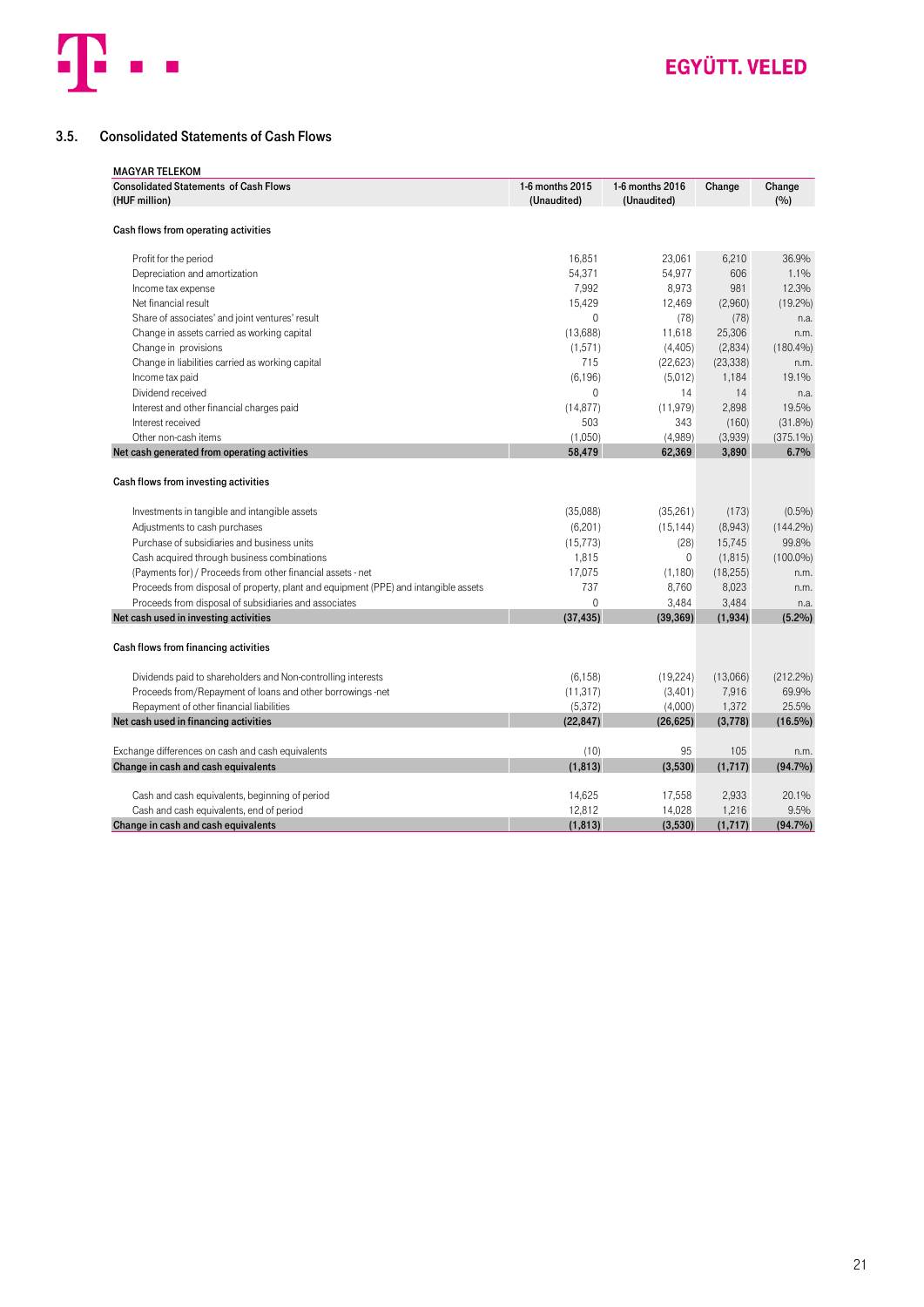

### <span id="page-20-0"></span>3.5. Consolidated Statements of Cash Flows

| <b>MAGYAR TELEKOM</b>                                                               |                 |                 |           |             |
|-------------------------------------------------------------------------------------|-----------------|-----------------|-----------|-------------|
| <b>Consolidated Statements of Cash Flows</b>                                        | 1-6 months 2015 | 1-6 months 2016 | Change    | Change      |
| (HUF million)                                                                       | (Unaudited)     | (Unaudited)     |           | (%)         |
| Cash flows from operating activities                                                |                 |                 |           |             |
| Profit for the period                                                               | 16,851          | 23,061          | 6,210     | 36.9%       |
| Depreciation and amortization                                                       | 54,371          | 54,977          | 606       | 1.1%        |
| Income tax expense                                                                  | 7,992           | 8,973           | 981       | 12.3%       |
| Net financial result                                                                | 15,429          | 12,469          | (2,960)   | $(19.2\%)$  |
| Share of associates' and joint ventures' result                                     | $\mathbf{0}$    | (78)            | (78)      | n.a.        |
| Change in assets carried as working capital                                         | (13,688)        | 11,618          | 25,306    | n.m.        |
| Change in provisions                                                                | (1,571)         | (4, 405)        | (2,834)   | $(180.4\%)$ |
| Change in liabilities carried as working capital                                    | 715             | (22, 623)       | (23, 338) | n.m.        |
| Income tax paid                                                                     | (6, 196)        | (5,012)         | 1,184     | 19.1%       |
| Dividend received                                                                   | $\mathbf{0}$    | 14              | 14        | n.a.        |
| Interest and other financial charges paid                                           | (14, 877)       | (11, 979)       | 2,898     | 19.5%       |
| Interest received                                                                   | 503             | 343             | (160)     | $(31.8\%)$  |
| Other non-cash items                                                                | (1,050)         | (4,989)         | (3,939)   | $(375.1\%)$ |
| Net cash generated from operating activities                                        | 58,479          | 62,369          | 3,890     | 6.7%        |
| Cash flows from investing activities                                                |                 |                 |           |             |
| Investments in tangible and intangible assets                                       | (35,088)        | (35, 261)       | (173)     | $(0.5\%)$   |
| Adjustments to cash purchases                                                       | (6, 201)        | (15, 144)       | (8,943)   | $(144.2\%)$ |
| Purchase of subsidiaries and business units                                         | (15, 773)       | (28)            | 15,745    | 99.8%       |
| Cash acquired through business combinations                                         | 1,815           | 0               | (1, 815)  | $(100.0\%)$ |
| (Payments for) / Proceeds from other financial assets - net                         | 17,075          | (1, 180)        | (18, 255) | n.m.        |
| Proceeds from disposal of property, plant and equipment (PPE) and intangible assets | 737             | 8,760           | 8,023     | n.m.        |
| Proceeds from disposal of subsidiaries and associates                               | $\Omega$        | 3,484           | 3,484     | n.a.        |
| Net cash used in investing activities                                               | (37, 435)       | (39, 369)       | (1,934)   | (5.2%)      |
| Cash flows from financing activities                                                |                 |                 |           |             |
| Dividends paid to shareholders and Non-controlling interests                        | (6, 158)        | (19, 224)       | (13,066)  | $(212.2\%)$ |
| Proceeds from/Repayment of loans and other borrowings -net                          | (11, 317)       | (3,401)         | 7,916     | 69.9%       |
| Repayment of other financial liabilities                                            | (5, 372)        | (4,000)         | 1,372     | 25.5%       |
| Net cash used in financing activities                                               | (22, 847)       | (26, 625)       | (3,778)   | $(16.5\%)$  |
|                                                                                     |                 |                 |           |             |
| Exchange differences on cash and cash equivalents                                   | (10)            | 95              | 105       | n.m.        |
| Change in cash and cash equivalents                                                 | (1, 813)        | (3,530)         | (1,717)   | $(94.7\%)$  |
| Cash and cash equivalents, beginning of period                                      | 14,625          | 17,558          | 2,933     | 20.1%       |
| Cash and cash equivalents, end of period                                            | 12,812          | 14,028          | 1,216     | 9.5%        |
| Change in cash and cash equivalents                                                 | (1, 813)        | (3,530)         | (1,717)   | $(94.7\%)$  |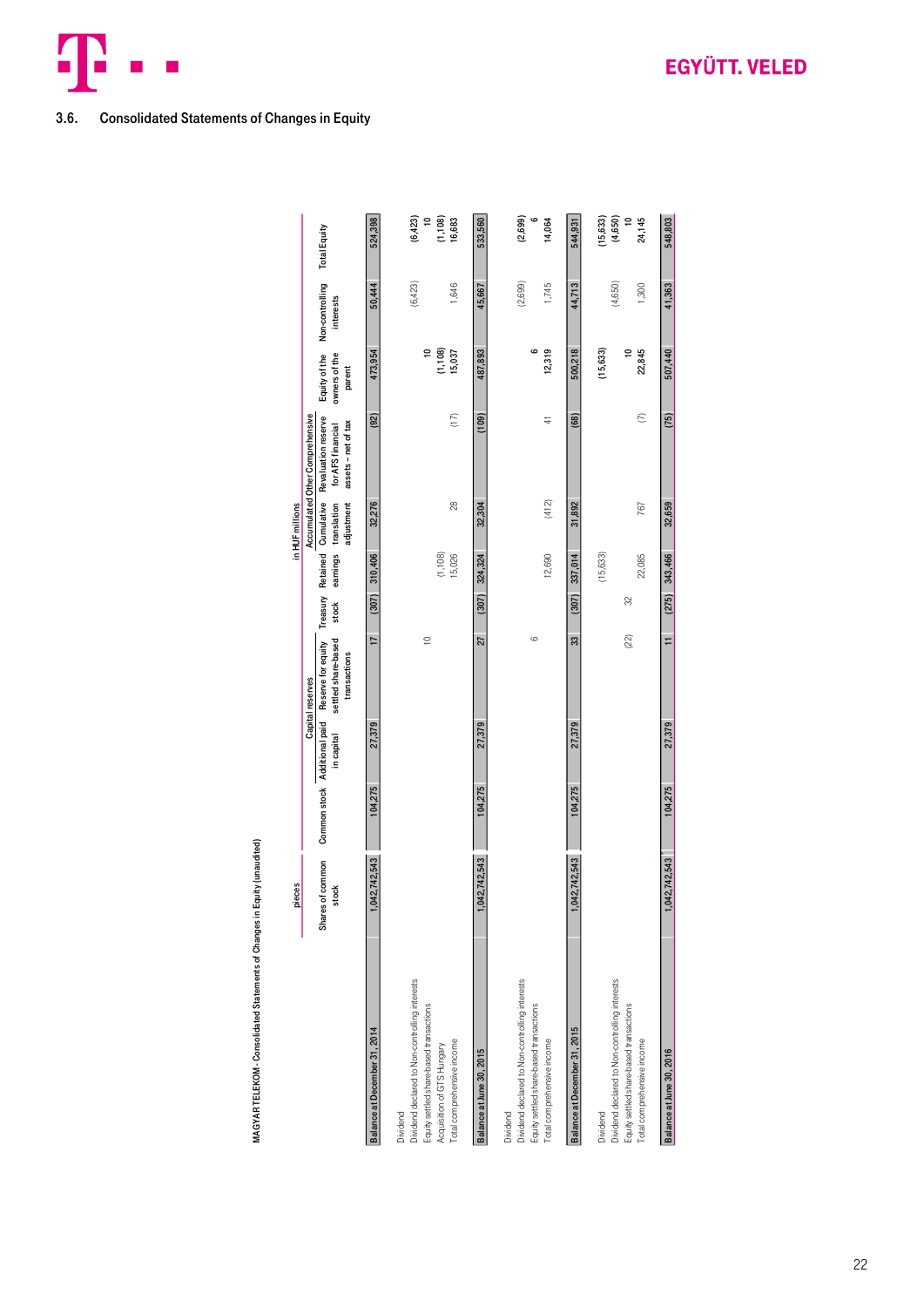

### <span id="page-21-0"></span>3.6. Consolidated Statements of Changes in Equity

MAGYAR TELEKOM - Consolidated Statements of Changes in Equity (unaudited)

MAGYAR TELEKOM - Consolidated Statements of Changes in Equity (unaudited)

|                                                                                                                                                                   | pieces                    |                              |            |                                                           |       |                    | in HUF millions                                                    |                                                                 |                                          |                              |                                             |
|-------------------------------------------------------------------------------------------------------------------------------------------------------------------|---------------------------|------------------------------|------------|-----------------------------------------------------------|-------|--------------------|--------------------------------------------------------------------|-----------------------------------------------------------------|------------------------------------------|------------------------------|---------------------------------------------|
|                                                                                                                                                                   |                           |                              |            | Capital reserves                                          |       |                    |                                                                    | Accumulated Other Comprehensive                                 |                                          |                              |                                             |
|                                                                                                                                                                   | Shares of common<br>stock | Common stock Additional paid | in capital | settled share-based<br>Reserve for equity<br>transactions | stock |                    | Treasury Retained Cumulative<br>adjustment<br>earnings translation | Revaluation reserve<br>assets - net of tax<br>for AFS financial | Equity of the<br>owners of the<br>parent | Non-controlling<br>interests | <b>Total Equity</b>                         |
| Balance at December 31, 2014                                                                                                                                      | 042,742,543               | 104,275                      | 27,379     | 17                                                        | (307) | 310,406            | 32,276                                                             | (92)                                                            | 473,954                                  | 50,444                       | 524,398                                     |
| Dividend declared to Non-controlling interests<br>Equity settled share-based transactions<br>Total comprehensive income<br>Acquisition of GTS Hungary<br>Dividend |                           |                              |            | $\approx$                                                 |       | (1, 108)<br>15,026 | 28                                                                 | (17)                                                            | (1, 108)<br>$\approx$<br>15,037          | (6, 423)<br>1,646            | (6, 423)<br>$\approx$<br>(1, 108)<br>16,683 |
| Balance at June 30, 2015                                                                                                                                          | 042,742,543               | 104,275                      | 27,379     | 27                                                        | (307) | 324,324            | 32,304                                                             | (109)                                                           | 487,893                                  | 45,667                       | 533,560                                     |
| Dividend declared to Non-controlling interests<br>Equity settled share-based transactions<br>Total comprehensive income<br>Dividend                               |                           |                              |            | 6                                                         |       | 12,690             | (412)                                                              | $\frac{4}{1}$                                                   | ဖ<br>12,319                              | (2,699)<br>1,745             | $\circ$<br>(2,699)<br>14,064                |
| Balance at December 31, 2015                                                                                                                                      | 042,742,543               | 104,275                      | 27,379     | 33                                                        | (307) | 337,014            | 31,892                                                             | (68)                                                            | 500,218                                  | 44,713                       | 544,931                                     |
| Dividend declared to Non-controlling interests<br>Dividend                                                                                                        |                           |                              |            |                                                           |       | (15,633)           |                                                                    |                                                                 | (15, 633)                                | (4,650)                      | (15, 633)<br>(4, 650)                       |
| Equity settled share-based transactions<br>Total comprehensive income                                                                                             |                           |                              |            | $(22)$                                                    | 32    | 22,085             | 767                                                                | $\epsilon$                                                      | 22,845<br>$\approx$                      | 1,300                        | $\approx$<br>24,145                         |
| Balance at June 30, 2016                                                                                                                                          | 042,742,543               | 104,275                      | 27,379     | $\overline{1}$                                            | (275) | 343,466            | 32,659                                                             | (75)                                                            | 507,440                                  | 41,363                       | 548,803                                     |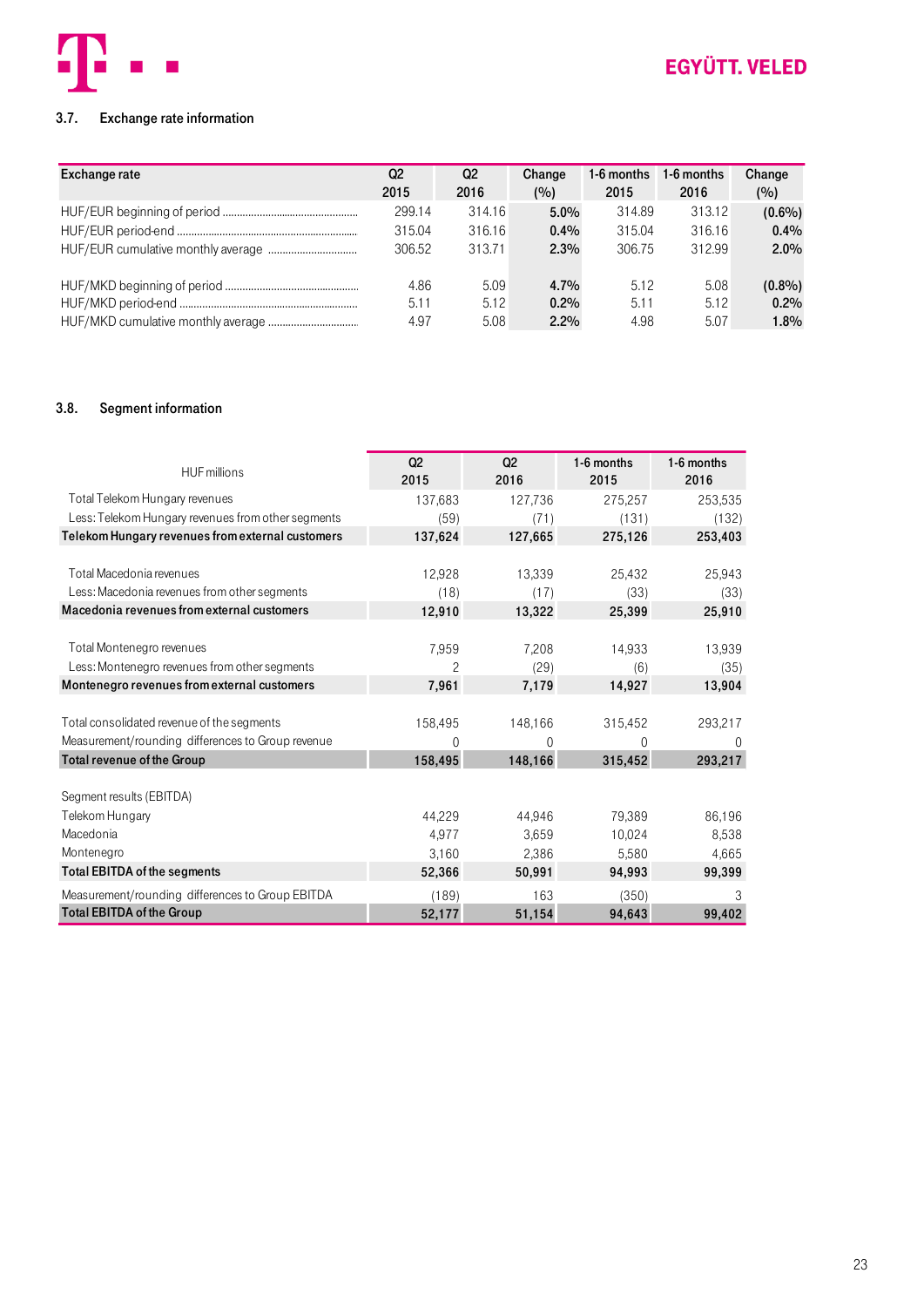

### <span id="page-22-0"></span>3.7. Exchange rate information

| <b>Exchange rate</b> | Q <sub>2</sub><br>2015 | Q2<br>2016 | Change<br>(%) | 1-6 months<br>2015 | 1-6 months<br>2016 | Change<br>(%) |
|----------------------|------------------------|------------|---------------|--------------------|--------------------|---------------|
|                      | 299.14                 | 314.16     | $5.0\%$       | 314.89             | 313.12             | $(0.6\%)$     |
|                      | 315.04                 | 316.16     | $0.4\%$       | 315.04             | 316.16             | $0.4\%$       |
|                      | 306.52                 | 313.71     | 2.3%          | 306.75             | 312.99             | $2.0\%$       |
|                      | 4.86                   | 5.09       | 4.7%          | 5.12               | 5.08               | $(0.8\%)$     |
|                      | 5.11                   | 5.12       | $0.2\%$       | 5.11               | 5.12               | 0.2%          |
|                      | 4.97                   | 5.08       | 2.2%          | 4.98               | 5.07               | 1.8%          |

#### <span id="page-22-1"></span>3.8. Segment information

| <b>HUF</b> millions                                | Q <sub>2</sub><br>2015 | Q <sub>2</sub><br>2016 | 1-6 months<br>2015 | 1-6 months<br>2016 |
|----------------------------------------------------|------------------------|------------------------|--------------------|--------------------|
| Total Telekom Hungary revenues                     | 137,683                | 127,736                | 275,257            | 253,535            |
| Less: Telekom Hungary revenues from other segments | (59)                   | (71)                   | (131)              | (132)              |
| Telekom Hungary revenues from external customers   | 137,624                | 127,665                | 275,126            | 253,403            |
|                                                    |                        |                        |                    |                    |
| Total Macedonia revenues                           | 12,928                 | 13,339                 | 25,432             | 25,943             |
| Less: Macedonia revenues from other segments       | (18)                   | (17)                   | (33)               | (33)               |
| Macedonia revenues from external customers         | 12,910                 | 13,322                 | 25,399             | 25,910             |
|                                                    |                        |                        |                    |                    |
| Total Montenegro revenues                          | 7,959                  | 7,208                  | 14,933             | 13,939             |
| Less: Montenegro revenues from other segments      | $\overline{c}$         | (29)                   | (6)                | (35)               |
| Montenegro revenues from external customers        | 7,961                  | 7,179                  | 14,927             | 13,904             |
|                                                    |                        |                        |                    |                    |
| Total consolidated revenue of the segments         | 158,495                | 148,166                | 315,452            | 293,217            |
| Measurement/rounding differences to Group revenue  | 0                      | 0                      | 0                  | $\Omega$           |
| Total revenue of the Group                         | 158,495                | 148,166                | 315,452            | 293,217            |
|                                                    |                        |                        |                    |                    |
| Segment results (EBITDA)                           |                        |                        |                    |                    |
| Telekom Hungary                                    | 44.229                 | 44.946                 | 79,389             | 86,196             |
| Macedonia                                          | 4,977                  | 3.659                  | 10.024             | 8,538              |
| Montenegro                                         | 3,160                  | 2,386                  | 5,580              | 4,665              |
| Total EBITDA of the segments                       | 52,366                 | 50.991                 | 94.993             | 99,399             |
| Measurement/rounding differences to Group EBITDA   | (189)                  | 163                    | (350)              | 3                  |
| <b>Total EBITDA of the Group</b>                   | 52,177                 | 51,154                 | 94,643             | 99,402             |